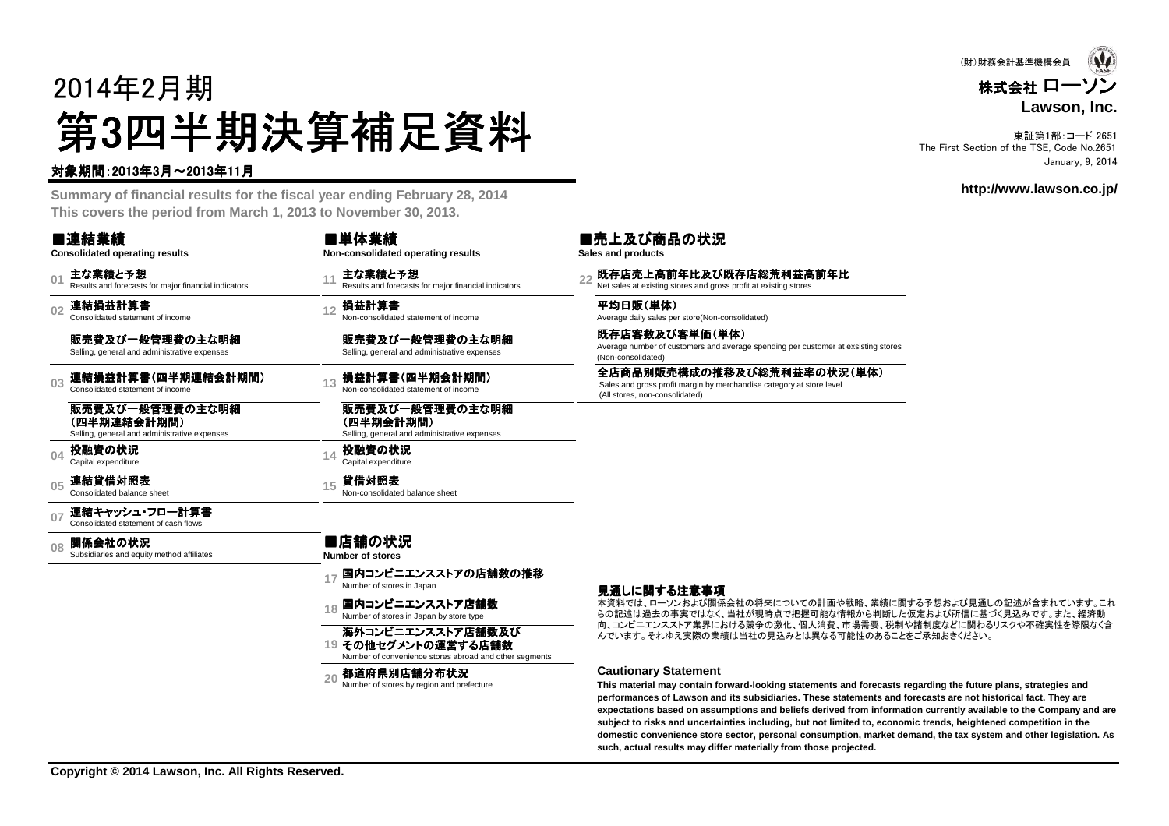# 2014年2月期第3四半期決算補足資料 四半期決算補足資料

#### 対象期間:2013年3月~2013年11月

 **Summary of financial results for the fiscal year ending February 28, 2014This covers the period from March 1, 2013 to November 30, 2013.**

| ■連結業績<br><b>Consolidated operating results</b>                                 |    |                                                                              |                                                                                                                                                                               |
|--------------------------------------------------------------------------------|----|------------------------------------------------------------------------------|-------------------------------------------------------------------------------------------------------------------------------------------------------------------------------|
| 主な業績と予想<br>Results and forecasts for major financial indicators                |    | 主な業績と予想<br>Results and forecasts for major financial indicators              |                                                                                                                                                                               |
| 連結損益計算書<br>Consolidated statement of income                                    |    | Non-consolidated statement of income                                         |                                                                                                                                                                               |
| 販売費及び一般管理費の主な明細<br>Selling, general and administrative expenses                |    | 販売費及び一般管理費の主な明細<br>Selling, general and administrative expenses              |                                                                                                                                                                               |
| 連結損益計算書(四半期連結会計期間)<br>Consolidated statement of income                         |    | 損益計算書(四半期会計期間)<br>Non-consolidated statement of income                       |                                                                                                                                                                               |
| 販売費及び一般管理費の主な明細<br>(四半期連結会計期間)<br>Selling, general and administrative expenses |    | 販売費及び一般管理費の主な明細<br>(四半期会計期間)<br>Selling, general and administrative expenses |                                                                                                                                                                               |
| 投融資の状況<br>Capital expenditure                                                  |    | 投融資の状況<br>Capital expenditure                                                |                                                                                                                                                                               |
| 連結貸借対照表<br>Consolidated balance sheet                                          | 15 | 貸借対照表<br>Non-consolidated balance sheet                                      |                                                                                                                                                                               |
| 連結キャッシュ・フロー計算書<br>Consolidated statement of cash flows                         |    |                                                                              |                                                                                                                                                                               |
| 関係会社の状況<br>Subsidiaries and equity method affiliates                           |    |                                                                              |                                                                                                                                                                               |
|                                                                                |    | 国内コンビニエンスストアの店舗数の推移<br>Number of stores in Japan                             |                                                                                                                                                                               |
|                                                                                |    | Number of stores in Japan by store type                                      |                                                                                                                                                                               |
|                                                                                |    | 海外コンビニエンスストア店舗数及び<br>Number of convenience stores abroad and other segments  |                                                                                                                                                                               |
|                                                                                |    | 都道府県別店舗分布状況<br>Number of stores by region and prefecture                     |                                                                                                                                                                               |
|                                                                                |    | 13                                                                           | ■単体業績<br>Non-consolidated operating results<br>12 損益計算書<br>14<br>■店舗の状況<br><b>Number of stores</b><br><sub>18</sub> 国内コンビニエンスストア店舗数<br>19 その他セグメントの運営する店舗数<br>20 <sup>2</sup> |



東証第1部:コード 2651 The First Section of the TSE, Code No.2651January, 9, 2014

**http://www.lawson.co.jp/**

#### ■売上及び商品の状況

**Sales and products**

<sub>22</sub> 既存店売上高前年比及び既存店総荒利益高前年比<br><sup>22</sup> Net sales at existing stores and gross profit at existing stores

**平均日販(単体)**<br>Average daily sales per store(Non-consolidated)

既存店客数及び客単価(単体) Average number of customers and average spending per customer at exsisting stores(Non-consolidated)

全店商品別販売構成の推移及び総荒利益率の状況(単体)<br>Sales and gross profit margin by merchandise category at store level<br>(All stores, non-consolidated)

#### 見通しに関する注意事項

本資料では、ローソンおよび関係会社の将来についての計画や戦略、業績に関する予想および見通しの記述が含まれています。これ らの記述は過去の事実ではなく、当社が現時点で把握可能な情報から判断した仮定および所信に基づく見込みです。また、経済動 向、コンビニエンスストア業界における競争の激化、個人消費、市場需要、税制や諸制度などに関わるリスクや不確実性を際限なく含んでいます。それゆえ実際の業績は当社の見込みとは異なる可能性のあることをご承知おきください。

#### **Cautionary Statement**

 **This material may contain forward-looking statements and forecasts regarding the future plans, strategies and performances of Lawson and its subsidiaries. These statements and forecasts are not historical fact. They are expectations based on assumptions and beliefs derived from information currently available to the Company and aresubject to risks and uncertainties including, but not limited to, economic trends, heightened competition in the domestic convenience store sector, personal consumption, market demand, the tax system and other legislation. Assuch, actual results may differ materially from those projected.**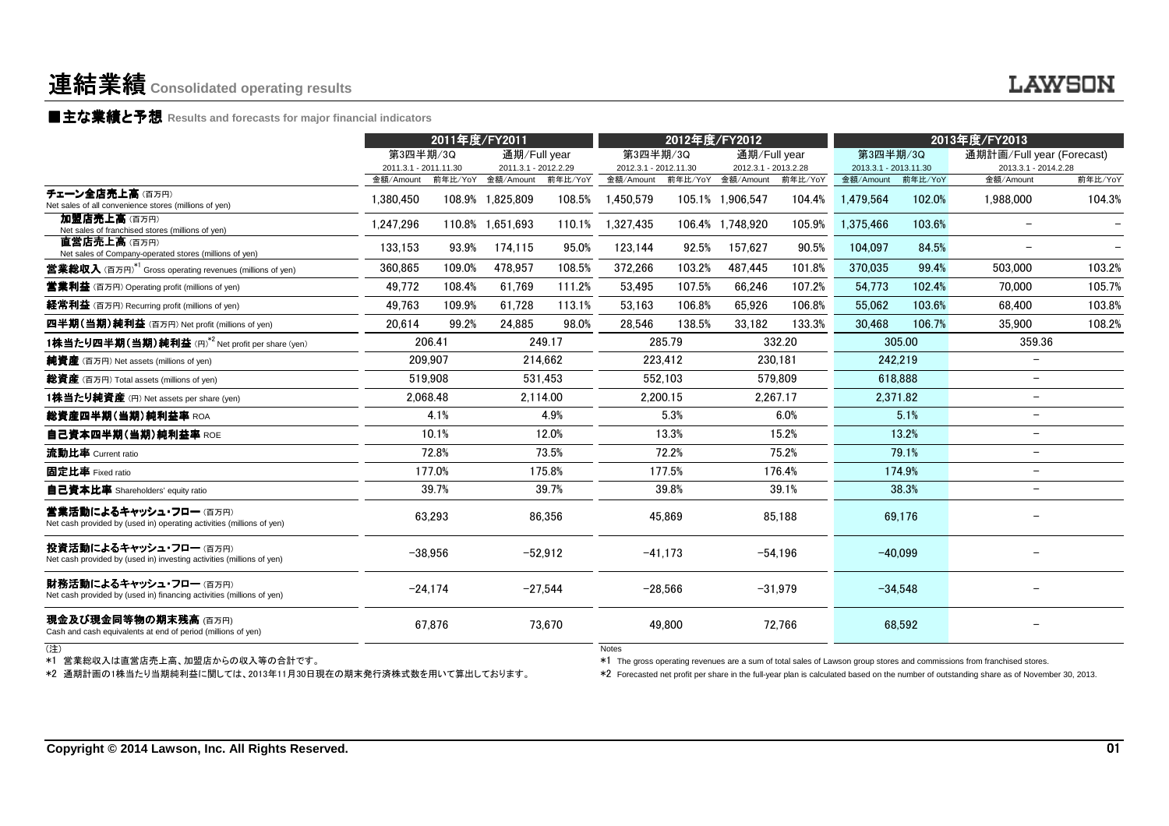### ■主な業績と予想 **Results and forecasts for major financial indicators**

|                                                                                                 | 2011年度/FY2011                      |         |                                   | 2012年度/FY2012 |                                    |           | 2013年度/FY2013                     |           |                                    |           |                                                                                                                                                                                                                                                                     |         |
|-------------------------------------------------------------------------------------------------|------------------------------------|---------|-----------------------------------|---------------|------------------------------------|-----------|-----------------------------------|-----------|------------------------------------|-----------|---------------------------------------------------------------------------------------------------------------------------------------------------------------------------------------------------------------------------------------------------------------------|---------|
|                                                                                                 | 第3四半期/3Q                           |         | 通期/Full year                      |               | 第3四半期/3Q                           |           | 通期/Full year                      |           | 第3四半期/3Q                           |           | 通期計画/Full year (Forecast)                                                                                                                                                                                                                                           |         |
|                                                                                                 | 2011.3.1 - 2011.11.30<br>金額/Amount | 前年比/YoY | 2011.3.1 - 2012.2.29<br>金額/Amount | 前年比/YoY       | 2012.3.1 - 2012.11.30<br>金額/Amount | 前年比/YoY   | 2012.3.1 - 2013.2.28<br>金額/Amount | 前年比/YoY   | 2013.3.1 - 2013.11.30<br>金額/Amount | 前年比/YoY   | 2013.3.1 - 2014.2.28<br>金額/Amount                                                                                                                                                                                                                                   | 前年比/YoY |
| チェーン全店売上高(百万円)<br>Net sales of all convenience stores (millions of yen)                         | 1.380.450                          |         | 108.9% 1.825.809                  | 108.5%        | 1,450,579                          |           | 105.1% 1.906.547                  | 104.4%    | 1.479.564                          | 102.0%    | 1,988,000                                                                                                                                                                                                                                                           | 104.3%  |
| 加盟店売上高(百万円)<br>Net sales of franchised stores (millions of yen)                                 | 1,247,296                          |         | 110.8% 1,651,693                  | 110.1%        | 1,327,435                          |           | 106.4% 1,748,920                  | 105.9%    | 1,375,466                          | 103.6%    | $\overline{\phantom{a}}$                                                                                                                                                                                                                                            |         |
| 直営店売上高(百万円)<br>Net sales of Company-operated stores (millions of yen)                           | 133,153                            | 93.9%   | 174,115                           | 95.0%         | 123,144                            | 92.5%     | 157,627                           | 90.5%     | 104,097                            | 84.5%     |                                                                                                                                                                                                                                                                     |         |
| <b>営業総収入</b> (百万円) <sup>*1</sup> Gross operating revenues (millions of yen)                     | 360,865                            | 109.0%  | 478.957                           | 108.5%        | 372,266                            | 103.2%    | 487.445                           | 101.8%    | 370.035                            | 99.4%     | 503,000                                                                                                                                                                                                                                                             | 103.2%  |
| <b>営業利益</b> (百万円) Operating profit (millions of yen)                                            | 49.772                             | 108.4%  | 61.769                            | 111.2%        | 53.495                             | 107.5%    | 66.246                            | 107.2%    | 54,773                             | 102.4%    | 70,000                                                                                                                                                                                                                                                              | 105.7%  |
| 経常利益 (百万円) Recurring profit (millions of yen)                                                   | 49,763                             | 109.9%  | 61,728                            | 113.1%        | 53,163                             | 106.8%    | 65,926                            | 106.8%    | 55,062                             | 103.6%    | 68,400                                                                                                                                                                                                                                                              | 103.8%  |
| 四半期(当期)純利益 (百万円) Net profit (millions of yen)                                                   | 20,614                             | 99.2%   | 24,885                            | 98.0%         | 28,546                             | 138.5%    | 33,182                            | 133.3%    | 30,468                             | 106.7%    | 35,900                                                                                                                                                                                                                                                              | 108.2%  |
| 1株当たり四半期(当期)純利益 (円)*2 Net profit per share (yen)                                                |                                    | 206.41  |                                   | 249.17        |                                    | 285.79    |                                   | 332.20    |                                    | 305.00    | 359.36                                                                                                                                                                                                                                                              |         |
| <b>純資産</b> (百万円) Net assets (millions of yen)                                                   | 209,907                            |         |                                   | 214,662       |                                    | 223,412   | 230,181                           |           | 242,219                            |           | $\overline{\phantom{m}}$                                                                                                                                                                                                                                            |         |
| 総資産 (百万円) Total assets (millions of yen)                                                        | 519.908                            |         |                                   | 531.453       |                                    | 552.103   | 579.809                           |           | 618.888                            |           | $\overline{\phantom{m}}$                                                                                                                                                                                                                                            |         |
| 1株当たり純資産 (円) Net assets per share (yen)                                                         | 2,068.48                           |         | 2,114.00                          |               | 2,200.15                           |           | 2,267.17                          |           | 2,371.82                           |           | $\overline{\phantom{a}}$                                                                                                                                                                                                                                            |         |
| 総資産四半期(当期)純利益率 ROA                                                                              | 4.1%                               |         |                                   | 4.9%          |                                    | 5.3%      |                                   | 6.0%      |                                    | 5.1%      | $\overline{\phantom{a}}$                                                                                                                                                                                                                                            |         |
| 自己資本四半期(当期)純利益率 ROE                                                                             | 10.1%                              |         |                                   | 12.0%         |                                    | 13.3%     |                                   | 15.2%     |                                    | 13.2%     | $\overline{\phantom{m}}$                                                                                                                                                                                                                                            |         |
| 流動比率 Current ratio                                                                              |                                    | 72.8%   |                                   | 73.5%         |                                    | 72.2%     |                                   | 75.2%     |                                    | 79.1%     | $\overline{\phantom{a}}$                                                                                                                                                                                                                                            |         |
| 固定比率 Fixed ratio                                                                                |                                    | 177.0%  |                                   | 175.8%        |                                    | 177.5%    |                                   | 176.4%    |                                    | 174.9%    | $\overline{\phantom{m}}$                                                                                                                                                                                                                                            |         |
| <b>自己資本比率</b> Shareholders' equity ratio                                                        |                                    | 39.7%   | 39.7%                             |               |                                    | 39.8%     | 39.1%                             |           | 38.3%                              |           | $\frac{1}{2}$                                                                                                                                                                                                                                                       |         |
| 営業活動によるキャッシュ・フロー (百万円)<br>Net cash provided by (used in) operating activities (millions of yen) |                                    | 63,293  | 86,356                            |               | 45.869                             |           | 85.188                            |           | 69.176                             |           |                                                                                                                                                                                                                                                                     |         |
| 投資活動によるキャッシュ・フロー (百万円)<br>Net cash provided by (used in) investing activities (millions of yen) | $-38,956$                          |         | $-52,912$                         |               | $-41.173$                          |           | $-54,196$                         |           | $-40,099$                          |           |                                                                                                                                                                                                                                                                     |         |
| 財務活動によるキャッシュ・フロー (百万円)<br>Net cash provided by (used in) financing activities (millions of yen) | $-24,174$                          |         |                                   | $-27,544$     |                                    | $-28.566$ |                                   | $-31,979$ |                                    | $-34,548$ |                                                                                                                                                                                                                                                                     |         |
| 現金及び現金同等物の期末残高 (百万円)<br>Cash and cash equivalents at end of period (millions of yen)            |                                    | 67,876  |                                   | 73,670        |                                    | 49,800    |                                   | 72,766    |                                    | 68,592    |                                                                                                                                                                                                                                                                     |         |
| (注)                                                                                             |                                    |         |                                   |               | <b>Notes</b>                       |           |                                   |           |                                    |           | *1 The gross operating revenues are a sum of total sales of Lawson group stores and commissions from franchised stores.<br>*2 Forecasted net profit per share in the full-year plan is calculated based on the number of outstanding share as of November 30, 2013. |         |

**LAWSON**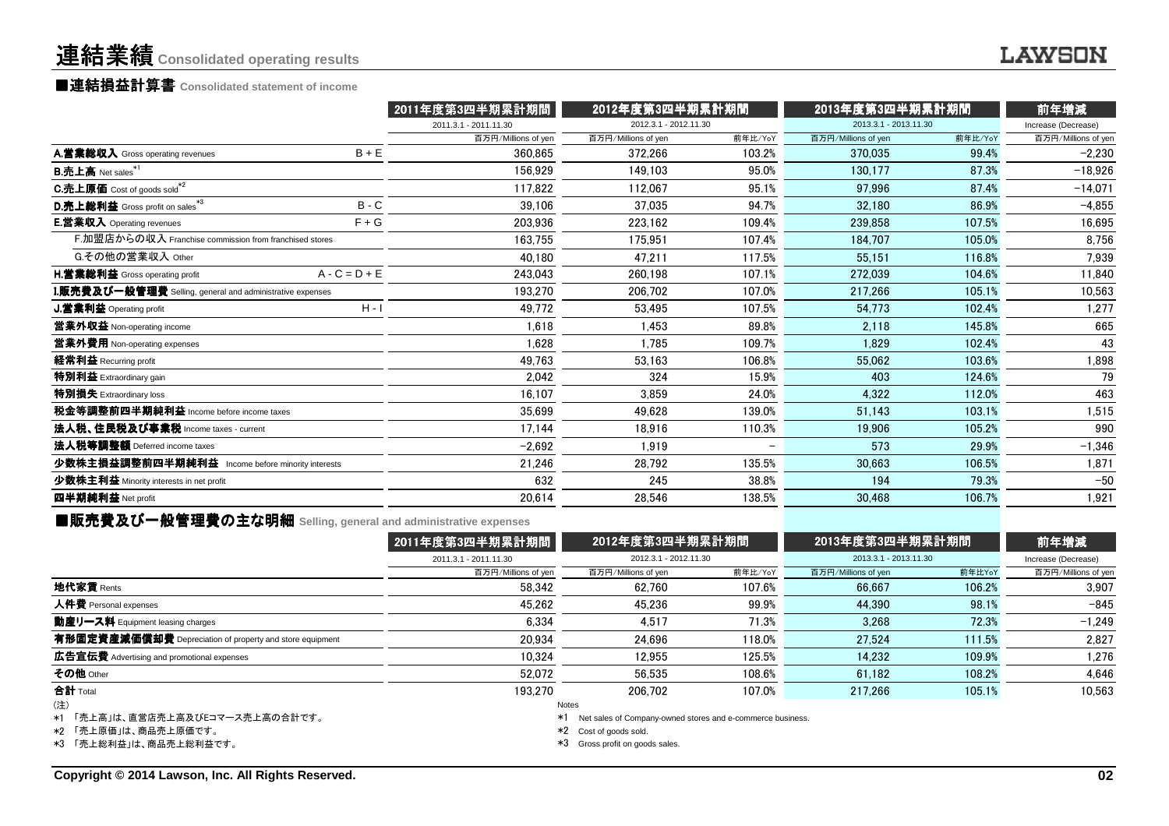## ■連結損益計算書 ■連結損益計算書**Consolidated statement of income**

|                                                          |                 | 2011年度第3四半期累計期間       | 2012年度第3四半期累計期間       |                          |                       | 2013年度第3四半期累計期間 |                     |  |
|----------------------------------------------------------|-----------------|-----------------------|-----------------------|--------------------------|-----------------------|-----------------|---------------------|--|
|                                                          |                 | 2011.3.1 - 2011.11.30 | 2012.3.1 - 2012.11.30 |                          | 2013.3.1 - 2013.11.30 |                 | Increase (Decrease) |  |
|                                                          |                 | 百万円/Millions of yen   | 百万円/Millions of yen   | 前年比/YoY                  | 百万円/Millions of yen   | 前年比/YoY         | 百万円/Millions of yen |  |
| A.営業総収入 Gross operating revenues                         | $B + E$         | 360.865               | 372,266               | 103.2%                   | 370.035               | 99.4%           | $-2,230$            |  |
| <b>B.売上高</b> Net sales*1                                 |                 | 156.929               | 149.103               | 95.0%                    | 130.177               | 87.3%           | $-18.926$           |  |
| C.売上原価 Cost of goods sold <sup>*2</sup>                  |                 | 117,822               | 112.067               | 95.1%                    | 97.996                | 87.4%           | $-14,071$           |  |
| D.売上総利益 Gross profit on sales*3                          | $B - C$         | 39,106                | 37.035                | 94.7%                    | 32.180                | 86.9%           | $-4,855$            |  |
| <b>E.営業収入</b> Operating revenues                         | $F + G$         | 203.936               | 223.162               | 109.4%                   | 239,858               | 107.5%          | 16,695              |  |
| F.加盟店からの収入 Franchise commission from franchised stores   |                 | 163.755               | 175.951               | 107.4%                   | 184.707               | 105.0%          | 8,756               |  |
| G.その他の営業収入 Other                                         |                 | 40.180                | 47.211                | 117.5%                   | 55,151                | 116.8%          | 7,939               |  |
| H.営業総利益 Gross operating profit                           | $A - C = D + E$ | 243,043               | 260.198               | 107.1%                   | 272,039               | 104.6%          | 11,840              |  |
| L販売費及び一般管理費 Selling, general and administrative expenses |                 | 193.270               | 206.702               | 107.0%                   | 217.266               | 105.1%          | 10,563              |  |
| <b>J.営業利益</b> Operating profit                           | $H - I$         | 49.772                | 53,495                | 107.5%                   | 54,773                | 102.4%          | 1,277               |  |
| 営業外収益 Non-operating income                               |                 | 1.618                 | 1.453                 | 89.8%                    | 2.118                 | 145.8%          | 665                 |  |
| 営業外費用 Non-operating expenses                             |                 | 1,628                 | 1,785                 | 109.7%                   | 1.829                 | 102.4%          | 43                  |  |
| 経常利益 Recurring profit                                    |                 | 49,763                | 53,163                | 106.8%                   | 55.062                | 103.6%          | 1,898               |  |
| 特別利益 Extraordinary gain                                  |                 | 2,042                 | 324                   | 15.9%                    | 403                   | 124.6%          | 79                  |  |
| 特別損失 Extraordinary loss                                  |                 | 16,107                | 3.859                 | 24.0%                    | 4,322                 | 112.0%          | 463                 |  |
| 税金等調整前四半期純利益 Income before income taxes                  |                 | 35,699                | 49.628                | 139.0%                   | 51.143                | 103.1%          | 1,515               |  |
| 法人税、住民税及び事業税 Income taxes - current                      |                 | 17.144                | 18,916                | 110.3%                   | 19,906                | 105.2%          | 990                 |  |
| 法人税等調整額 Deferred income taxes                            |                 | $-2.692$              | 1.919                 | $\overline{\phantom{0}}$ | 573                   | 29.9%           | $-1,346$            |  |
| 少数株主損益調整前四半期純利益 Income before minority interests         |                 | 21,246                | 28,792                | 135.5%                   | 30,663                | 106.5%          | 1,871               |  |
| 少数株主利益 Minority interests in net profit                  |                 | 632                   | 245                   | 38.8%                    | 194                   | 79.3%           | $-50$               |  |
| 四半期純利益 Net profit                                        |                 | 20,614                | 28,546                | 138.5%                   | 30,468                | 106.7%          | 1,921               |  |
|                                                          |                 |                       |                       |                          |                       |                 |                     |  |

■販売費及び一般管理費の主な明細 Selling, general and administrative expenses<br>- A011左座第0冊 当開<del>引</del>

|                                                          | 2011年度第3四半期累計期間       | 2012年度第3四半期累計期間<br>2012.3.1 - 2012.11.30 |         | 2013年度第3四半期累計期間<br>2013.3.1 - 2013.11.30 |        | 前年増減<br>Increase (Decrease) |  |
|----------------------------------------------------------|-----------------------|------------------------------------------|---------|------------------------------------------|--------|-----------------------------|--|
|                                                          | 2011.3.1 - 2011.11.30 |                                          |         |                                          |        |                             |  |
|                                                          | 百万円/Millions of yen   | 百万円/Millions of yen                      | 前年比/YoY | 百万円/Millions of yen                      | 前年比YoY | 百万円/Millions of yen         |  |
| 地代家賃 Rents                                               | 58.342                | 62.760                                   | 107.6%  | 66.667                                   | 106.2% | 3.907                       |  |
| 人件費 Personal expenses                                    | 45.262                | 45.236                                   | 99.9%   | 44.390                                   | 98.1%  | $-845$                      |  |
| 動産リース料 Equipment leasing charges                         | 6,334                 | 4.517                                    | 71.3%   | 3.268                                    | 72.3%  | $-1.249$                    |  |
| 有形固定資産減価償却費 Depreciation of property and store equipment | 20.934                | 24.696                                   | 118.0%  | 27.524                                   | 111.5% | 2,827                       |  |
| <b>広告宣伝費</b> Advertising and promotional expenses        | 10.324                | 12,955                                   | 125.5%  | 14.232                                   | 109.9% | 1.276                       |  |
| その他 Other                                                | 52.072                | 56.535                                   | 108.6%  | 61,182                                   | 108.2% | 4,646                       |  |
| 合計 Total                                                 | 193.270               | 206.702                                  | 107.0%  | 217.266                                  | 105.1% | 10,563                      |  |
| (注)                                                      |                       | Notes                                    |         |                                          |        |                             |  |

\*1「売上高」は、直営店売上高及びEコマース売上高の合計です。

\*2 「売上原価」は、商品売上原価です。

\*3 「売上総利益」は、商品売上総利益です。

\*1 Net sales of Company-owned stores and e-commerce business.

\*2 Cost of goods sold.

\*3 Gross profit on goods sales.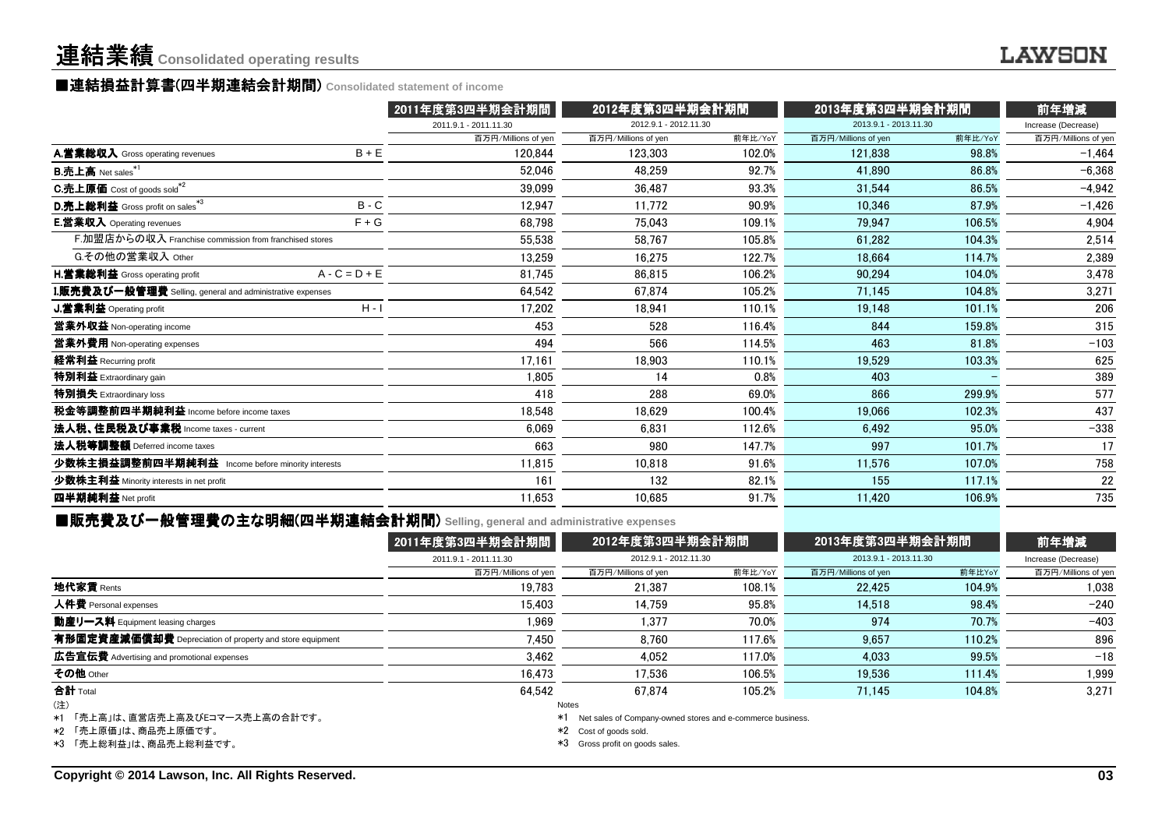### ■連結損益計算書 ■連結損益計算書(四半期連結会計期間 (四半期連結会計期間) **Consolidated statement of income**

|                                                          |                 | 2011年度第3四半期会計期間       | 2012年度第3四半期会計期間       |         | 2013年度第3四半期会計期間       |         | 前年増減                |  |
|----------------------------------------------------------|-----------------|-----------------------|-----------------------|---------|-----------------------|---------|---------------------|--|
|                                                          |                 | 2011.9.1 - 2011.11.30 | 2012.9.1 - 2012.11.30 |         | 2013.9.1 - 2013.11.30 |         | Increase (Decrease) |  |
|                                                          |                 | 百万円/Millions of yen   | 百万円/Millions of yen   | 前年比/YoY | 百万円/Millions of yen   | 前年比/YoY | 百万円/Millions of yen |  |
| A.営業総収入 Gross operating revenues                         | $B + E$         | 120.844               | 123.303               | 102.0%  | 121.838               | 98.8%   | $-1,464$            |  |
| $B.\overline{\textbf{h}}$ 上高 Net sales $*1$              |                 | 52,046                | 48,259                | 92.7%   | 41.890                | 86.8%   | $-6,368$            |  |
| C.売上原価 Cost of goods sold <sup>*2</sup>                  |                 | 39,099                | 36.487                | 93.3%   | 31.544                | 86.5%   | $-4,942$            |  |
| D.売上総利益 Gross profit on sales*3                          | $B - C$         | 12,947                | 11.772                | 90.9%   | 10.346                | 87.9%   | $-1,426$            |  |
| <b>E.営業収入</b> Operating revenues                         | $F + G$         | 68.798                | 75.043                | 109.1%  | 79.947                | 106.5%  | 4,904               |  |
| F.加盟店からの収入 Franchise commission from franchised stores   |                 | 55,538                | 58.767                | 105.8%  | 61.282                | 104.3%  | 2,514               |  |
| G.その他の営業収入 Other                                         |                 | 13.259                | 16.275                | 122.7%  | 18.664                | 114.7%  | 2,389               |  |
| H.営業総利益 Gross operating profit                           | $A - C = D + E$ | 81.745                | 86.815                | 106.2%  | 90,294                | 104.0%  | 3,478               |  |
| L販売費及び一般管理費 Selling, general and administrative expenses |                 | 64.542                | 67.874                | 105.2%  | 71.145                | 104.8%  | 3,271               |  |
| J.営業利益 Operating profit                                  | $H - I$         | 17,202                | 18.941                | 110.1%  | 19,148                | 101.1%  | 206                 |  |
| 営業外収益 Non-operating income                               |                 | 453                   | 528                   | 116.4%  | 844                   | 159.8%  | 315                 |  |
| 営業外費用 Non-operating expenses                             |                 | 494                   | 566                   | 114.5%  | 463                   | 81.8%   | $-103$              |  |
| 経常利益 Recurring profit                                    |                 | 17.161                | 18,903                | 110.1%  | 19.529                | 103.3%  | 625                 |  |
| 特別利益 Extraordinary gain                                  |                 | 1.805                 | 14                    | 0.8%    | 403                   |         | 389                 |  |
| 特別損失 Extraordinary loss                                  |                 | 418                   | 288                   | 69.0%   | 866                   | 299.9%  | 577                 |  |
| 税金等調整前四半期純利益 Income before income taxes                  |                 | 18.548                | 18.629                | 100.4%  | 19.066                | 102.3%  | 437                 |  |
| 法人税、住民税及び事業税 Income taxes - current                      |                 | 6,069                 | 6.831                 | 112.6%  | 6.492                 | 95.0%   | $-338$              |  |
| 法人税等調整額 Deferred income taxes                            |                 | 663                   | 980                   | 147.7%  | 997                   | 101.7%  | 17                  |  |
| 少数株主損益調整前四半期純利益 Income before minority interests         |                 | 11,815                | 10,818                | 91.6%   | 11,576                | 107.0%  | 758                 |  |
| 少数株主利益 Minority interests in net profit                  |                 | 161                   | 132                   | 82.1%   | 155                   | 117.1%  | 22                  |  |
| 四半期純利益 Net profit                                        |                 | 11,653                | 10,685                | 91.7%   | 11,420                | 106.9%  | 735                 |  |
|                                                          |                 |                       |                       |         |                       |         |                     |  |

### ■販売費及び一般管理費の主な明細(四半期連結会計期間 (四半期連結会計期間) **Selling, general and administrative expenses**

|                                                          | 2011年度第3四半期会計期間       | 2012年度第3四半期会計期間<br>2012.9.1 - 2012.11.30 |         | 2013年度第3四半期会計期間<br>2013.9.1 - 2013.11.30 |        | 前年増減<br>Increase (Decrease) |  |
|----------------------------------------------------------|-----------------------|------------------------------------------|---------|------------------------------------------|--------|-----------------------------|--|
|                                                          | 2011.9.1 - 2011.11.30 |                                          |         |                                          |        |                             |  |
|                                                          | 百万円/Millions of yen   | 百万円/Millions of yen                      | 前年比/YoY | 百万円/Millions of yen                      | 前年比YoY | 百万円/Millions of yen         |  |
| 地代家賃 Rents                                               | 19.783                | 21.387                                   | 108.1%  | 22.425                                   | 104.9% | 1.038                       |  |
| 人件費 Personal expenses                                    | 15.403                | 14.759                                   | 95.8%   | 14.518                                   | 98.4%  | $-240$                      |  |
| 動産リース料 Equipment leasing charges                         | 1,969                 | 1.377                                    | 70.0%   | 974                                      | 70.7%  | $-403$                      |  |
| 有形固定資産減価償却費 Depreciation of property and store equipment | 7.450                 | 8.760                                    | 117.6%  | 9.657                                    | 110.2% | 896                         |  |
| <b>広告宣伝費</b> Advertising and promotional expenses        | 3.462                 | 4.052                                    | 117.0%  | 4.033                                    | 99.5%  | $-18$                       |  |
| その他 Other                                                | 16.473                | 17.536                                   | 106.5%  | 19.536                                   | 111.4% | 1,999                       |  |
| 合計 Total                                                 | 64.542                | 67.874                                   | 105.2%  | 71.145                                   | 104.8% | 3,271                       |  |
| (注)                                                      | Notes                 |                                          |         |                                          |        |                             |  |

\*1「売上高」は、直営店売上高及びEコマース売上高の合計です。

\*2 「売上原価」は、商品売上原価です。

\*3 「売上総利益」は、商品売上総利益です。

\*1 Net sales of Company-owned stores and e-commerce business.

\*2 Cost of goods sold.

\*3 Gross profit on goods sales.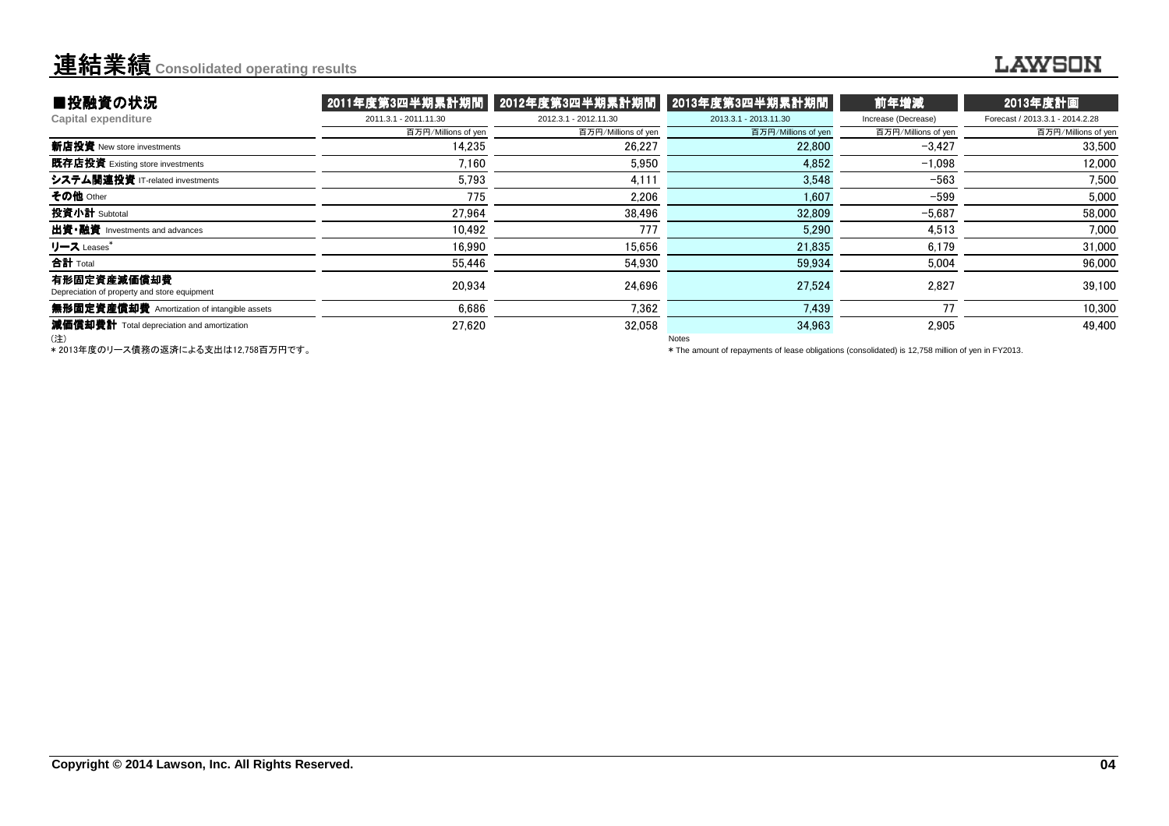### **LAWSON**

| ■投融資の状況                                                     | 2011年度第3四半期累計期間    2012年度第3四半期累計期間 |                       | 2013年度第3四半期累計期間       | 前年増減                | 2013年度計画                        |
|-------------------------------------------------------------|------------------------------------|-----------------------|-----------------------|---------------------|---------------------------------|
| Capital expenditure                                         | 2011.3.1 - 2011.11.30              | 2012.3.1 - 2012.11.30 | 2013.3.1 - 2013.11.30 | Increase (Decrease) | Forecast / 2013.3.1 - 2014.2.28 |
|                                                             | 百万円/Millions of yen                | 百万円/Millions of yen   | 百万円/Millions of yen   | 百万円/Millions of yen | 百万円/Millions of yen             |
| 新店投資 New store investments                                  | 14.235                             | 26,227                | 22,800                | $-3.427$            | 33,500                          |
| 既存店投資 Existing store investments                            | 7.160                              | 5,950                 | 4,852                 | $-1.098$            | 12.000                          |
| システム関連投資 IT-related investments                             | 5.793                              | 4.111                 | 3.548                 | $-563$              | 7.500                           |
| その他 Other                                                   | 775                                | 2.206                 | 1,607                 | $-599$              | 5,000                           |
| 投資小計 Subtotal                                               | 27.964                             | 38,496                | 32,809                | $-5,687$            | 58,000                          |
| 出資•融資 Investments and advances                              | 10.492                             | 777                   | 5.290                 | 4,513               | 7.000                           |
| リース Leases*                                                 | 16,990                             | 15,656                | 21,835                | 6,179               | 31,000                          |
| 合計 Total                                                    | 55,446                             | 54,930                | 59,934                | 5,004               | 96,000                          |
| 有形固定資産減価償却費<br>Depreciation of property and store equipment | 20,934                             | 24.696                | 27.524                | 2,827               | 39,100                          |
| 無形固定資産償却費 Amortization of intangible assets                 | 6.686                              | 7.362                 | 7.439                 | 77                  | 10,300                          |
| 減価償却費計 Total depreciation and amortization                  | 27.620                             | 32.058                | 34.963                | 2,905               | 49.400                          |
| (注)                                                         |                                    |                       | Notes                 |                     |                                 |

\* 2013年度のリース債務の返済による支出は12,758百万円です。

\* The amount of repayments of lease obligations (consolidated) is 12,758 million of yen in FY2013.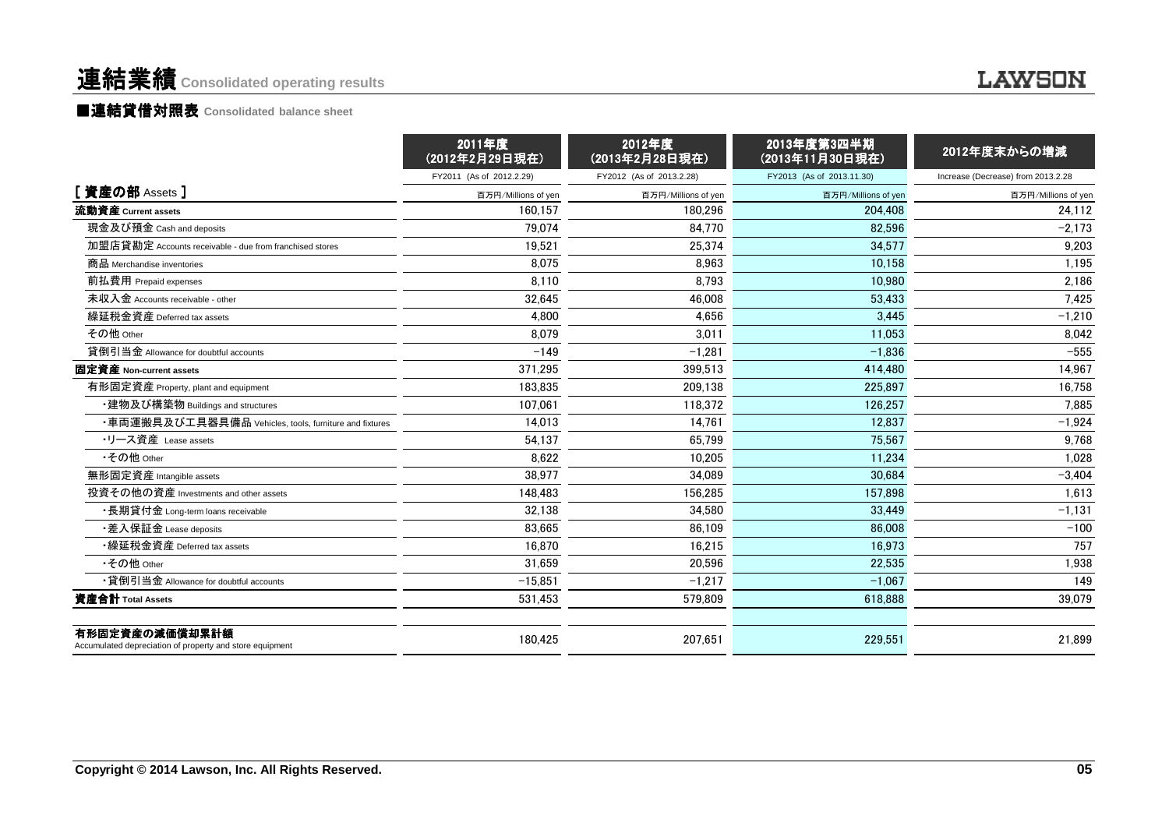### **LAWSON**

### ■連結貸借対照表 Consolidated balance sheet

|                                                                            | 2011年度<br>(2012年2月29日現在) | 2012年度<br>(2013年2月28日現在) | 2013年度第3四半期<br>(2013年11月30日現在) | 2012年度末からの増減                       |
|----------------------------------------------------------------------------|--------------------------|--------------------------|--------------------------------|------------------------------------|
|                                                                            | FY2011 (As of 2012.2.29) | FY2012 (As of 2013.2.28) | FY2013 (As of 2013.11.30)      | Increase (Decrease) from 2013.2.28 |
| [資産の部 Assets]                                                              | 百万円/Millions of yen      | 百万円/Millions of yen      | 百万円/Millions of yen            | 百万円/Millions of yen                |
| 流動資産 Current assets                                                        | 160.157                  | 180.296                  | 204.408                        | 24.112                             |
| 現金及び預金 Cash and deposits                                                   | 79.074                   | 84.770                   | 82.596                         | $-2.173$                           |
| 加盟店貸勘定 Accounts receivable - due from franchised stores                    | 19,521                   | 25,374                   | 34,577                         | 9,203                              |
| 商品 Merchandise inventories                                                 | 8.075                    | 8.963                    | 10.158                         | 1,195                              |
| 前払費用 Prepaid expenses                                                      | 8,110                    | 8,793                    | 10,980                         | 2,186                              |
| 未収入金 Accounts receivable - other                                           | 32.645                   | 46.008                   | 53.433                         | 7,425                              |
| 繰延税金資産 Deferred tax assets                                                 | 4,800                    | 4,656                    | 3,445                          | $-1,210$                           |
| その他 Other                                                                  | 8.079                    | 3.011                    | 11.053                         | 8,042                              |
| 貸倒引当金 Allowance for doubtful accounts                                      | $-149$                   | $-1.281$                 | $-1.836$                       | $-555$                             |
| 固定資産 Non-current assets                                                    | 371,295                  | 399,513                  | 414,480                        | 14,967                             |
| 有形固定資産 Property, plant and equipment                                       | 183.835                  | 209.138                  | 225.897                        | 16,758                             |
| ・建物及び構築物 Buildings and structures                                          | 107.061                  | 118,372                  | 126,257                        | 7,885                              |
| ・車両運搬具及び工具器具備品 Vehicles, tools, furniture and fixtures                     | 14.013                   | 14,761                   | 12.837                         | $-1,924$                           |
| ・リース資産 Lease assets                                                        | 54,137                   | 65.799                   | 75,567                         | 9,768                              |
| •その他 Other                                                                 | 8.622                    | 10,205                   | 11,234                         | 1,028                              |
| 無形固定資産 Intangible assets                                                   | 38.977                   | 34.089                   | 30.684                         | $-3.404$                           |
| 投資その他の資産 Investments and other assets                                      | 148.483                  | 156,285                  | 157,898                        | 1,613                              |
| ・長期貸付金 Long-term loans receivable                                          | 32,138                   | 34,580                   | 33.449                         | $-1,131$                           |
| ・差入保証金 Lease deposits                                                      | 83.665                   | 86.109                   | 86,008                         | $-100$                             |
| •繰延税金資産 Deferred tax assets                                                | 16,870                   | 16,215                   | 16,973                         | 757                                |
| •その他 Other                                                                 | 31.659                   | 20.596                   | 22.535                         | 1,938                              |
| •貸倒引当金 Allowance for doubtful accounts                                     | $-15,851$                | $-1,217$                 | $-1,067$                       | 149                                |
| 資産合計 Total Assets                                                          | 531,453                  | 579.809                  | 618.888                        | 39,079                             |
| 有形固定資産の減価償却累計額<br>Accumulated depreciation of property and store equipment | 180,425                  | 207,651                  | 229,551                        | 21,899                             |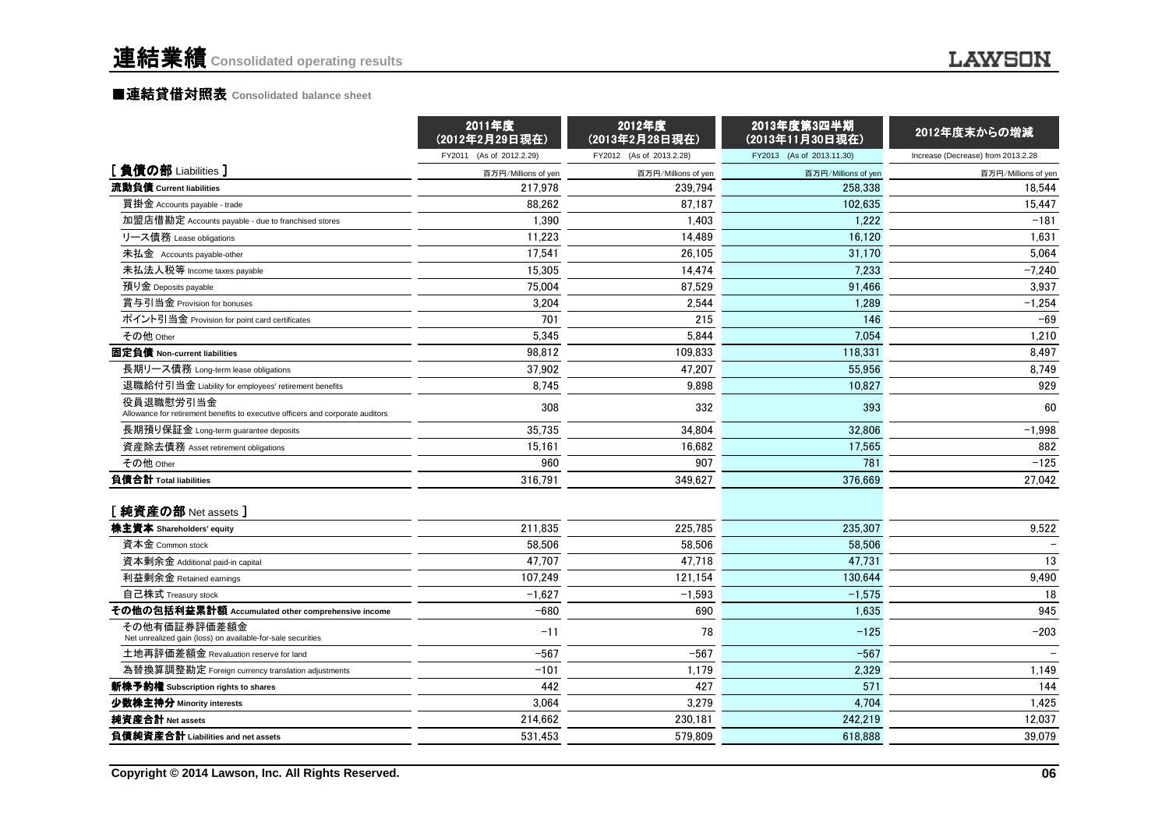|                                                                                             | 2011年度<br>(2012年2月29日現在) | 2012年度<br>(2013年2月28日現在) | 2013年度第3四半期<br>(2013年11月30日現在) | 2012年度末からの増減                       |
|---------------------------------------------------------------------------------------------|--------------------------|--------------------------|--------------------------------|------------------------------------|
|                                                                                             | FY2011 (As of 2012.2.29) | FY2012 (As of 2013.2.28) | FY2013 (As of 2013.11.30)      | Increase (Decrease) from 2013.2.28 |
| [負債の部 Liabilities]                                                                          | 百万円/Millions of yen      | 百万円/Millions of yen      | 百万円/Millions of yen            | 百万円/Millions of yen                |
| 流動負債 Current liabilities                                                                    | 217,978                  | 239,794                  | 258.338                        | 18,544                             |
| 買掛金 Accounts payable - trade                                                                | 88,262                   | 87,187                   | 102,635                        | 15,447                             |
| 加盟店借勘定 Accounts payable - due to franchised stores                                          | 1,390                    | 1,403                    | 1,222                          | $-181$                             |
| リース債務 Lease obligations                                                                     | 11,223                   | 14,489                   | 16,120                         | 1,631                              |
| 未払金 Accounts payable-other                                                                  | 17,541                   | 26.105                   | 31.170                         | 5.064                              |
| 未払法人税等 Income taxes payable                                                                 | 15,305                   | 14,474                   | 7,233                          | $-7,240$                           |
| 預り金 Deposits payable                                                                        | 75.004                   | 87.529                   | 91.466                         | 3.937                              |
| 賞与引当金 Provision for bonuses                                                                 | 3,204                    | 2,544                    | 1,289                          | $-1,254$                           |
| ポイント引当金 Provision for point card certificates                                               | 701                      | 215                      | 146                            | $-69$                              |
| その他 Other                                                                                   | 5,345                    | 5,844                    | 7.054                          | 1,210                              |
| 固定負債 Non-current liabilities                                                                | 98.812                   | 109.833                  | 118.331                        | 8,497                              |
| 長期リース債務 Long-term lease obligations                                                         | 37,902                   | 47,207                   | 55,956                         | 8,749                              |
| 退職給付引当金 Liability for employees' retirement benefits                                        | 8,745                    | 9,898                    | 10,827                         | 929                                |
| 役員退職慰労引当金<br>Allowance for retirement benefits to executive officers and corporate auditors | 308                      | 332                      | 393                            | 60                                 |
| 長期預り保証金 Long-term guarantee deposits                                                        | 35,735                   | 34,804                   | 32,806                         | $-1,998$                           |
| 資産除去債務 Asset retirement obligations                                                         | 15,161                   | 16,682                   | 17,565                         | 882                                |
| その他 Other                                                                                   | 960                      | 907                      | 781                            | $-125$                             |
| 負債合計 Total liabilities                                                                      | 316,791                  | 349,627                  | 376,669                        | 27,042                             |
| [純資産の部 Net assets]                                                                          |                          |                          |                                |                                    |
| 株主資本 Shareholders' equity                                                                   | 211.835                  | 225.785                  | 235.307                        | 9.522                              |
| 資本金 Common stock                                                                            | 58,506                   | 58,506                   | 58,506                         |                                    |
| 資本剰余金 Additional paid-in capital                                                            | 47.707                   | 47.718                   | 47.731                         | 13                                 |
| 利益剰余金 Retained earnings                                                                     | 107,249                  | 121,154                  | 130.644                        | 9,490                              |
| 自己株式 Treasury stock                                                                         | $-1.627$                 | $-1,593$                 | $-1,575$                       | 18                                 |
| その他の包括利益累計額 Accumulated other comprehensive income                                          | $-680$                   | 690                      | 1.635                          | 945                                |
| その他有価証券評価差額金<br>Net unrealized gain (loss) on available-for-sale securities                 | $-11$                    | 78                       | $-125$                         | $-203$                             |
| 土地再評価差額金 Revaluation reserve for land                                                       | $-567$                   | $-567$                   | $-567$                         |                                    |
| 為替換算調整勘定 Foreign currency translation adjustments                                           | $-101$                   | 1,179                    | 2,329                          | 1,149                              |
| 新株予約権 Subscription rights to shares                                                         | 442                      | 427                      | 571                            | 144                                |
| 少数株主持分 Minority interests                                                                   | 3,064                    | 3,279                    | 4,704                          | 1,425                              |
| 純資産合計 Net assets                                                                            | 214,662                  | 230,181                  | 242,219                        | 12,037                             |
| 負債純資産合計 Liabilities and net assets                                                          | 531,453                  | 579,809                  | 618,888                        | 39,079                             |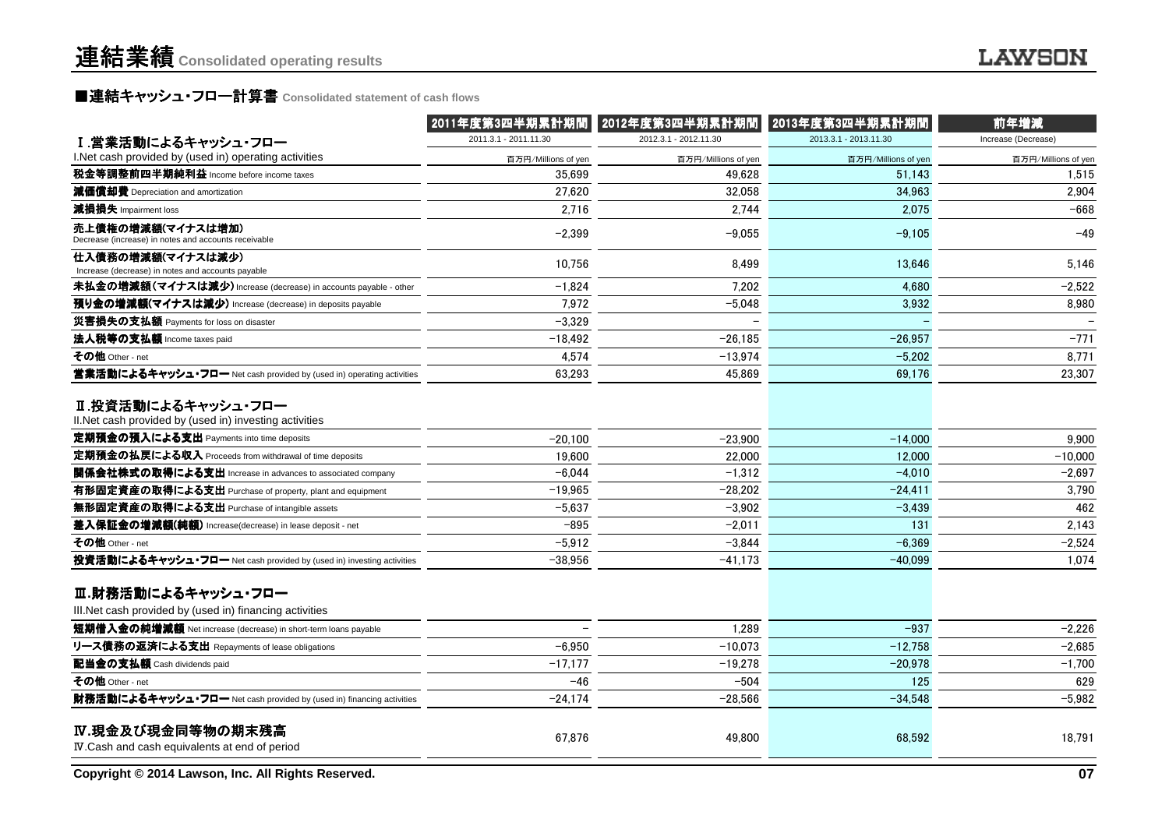## ■連結キャッシュ・フロー計算書 Consolidated statement of cash flows<br>————————————————————

|                                                                                | 2011年度第3四半期累計期間       | 2012年度第3四半期累計期間       | 2013年度第3四半期累計期間       | 前年増減                |
|--------------------------------------------------------------------------------|-----------------------|-----------------------|-----------------------|---------------------|
| Ⅰ.営業活動によるキャッシュ・フロー                                                             | 2011.3.1 - 2011.11.30 | 2012.3.1 - 2012.11.30 | 2013.3.1 - 2013.11.30 | Increase (Decrease) |
| I.Net cash provided by (used in) operating activities                          | 百万円/Millions of yen   | 百万円/Millions of yen   | 百万円/Millions of yen   | 百万円/Millions of yen |
| 税金等調整前四半期純利益 Income before income taxes                                        | 35.699                | 49.628                | 51.143                | 1.515               |
| 減価償却費 Depreciation and amortization                                            | 27,620                | 32,058                | 34,963                | 2,904               |
| 減損損失 Impairment loss                                                           | 2,716                 | 2,744                 | 2,075                 | $-668$              |
| 売上債権の増減額(マイナスは増加)<br>Decrease (increase) in notes and accounts receivable      | $-2,399$              | $-9,055$              | $-9,105$              | $-49$               |
| 仕入債務の増減額(マイナスは減少)<br>Increase (decrease) in notes and accounts payable         | 10,756                | 8,499                 | 13,646                | 5,146               |
| 未払金の増減額(マイナスは減少) Increase (decrease) in accounts payable - other               | $-1,824$              | 7.202                 | 4,680                 | $-2,522$            |
| 預り金の増減額(マイナスは減少) Increase (decrease) in deposits payable                       | 7,972                 | $-5.048$              | 3,932                 | 8,980               |
| 災害損失の支払額 Payments for loss on disaster                                         | $-3,329$              |                       |                       |                     |
| 法人税等の支払額 Income taxes paid                                                     | $-18,492$             | $-26,185$             | $-26,957$             | $-771$              |
| その他 Other - net                                                                | 4,574                 | $-13,974$             | $-5,202$              | 8,771               |
| 営業活動によるキャッシュ・フロー Net cash provided by (used in) operating activities           | 63,293                | 45,869                | 69.176                | 23,307              |
| Ⅱ.投資活動によるキャッシュ・フロー<br>II. Net cash provided by (used in) investing activities  |                       |                       |                       |                     |
| 定期預金の預入による支出 Payments into time deposits                                       | $-20,100$             | $-23.900$             | $-14,000$             | 9.900               |
| 定期預金の払戻による収入 Proceeds from withdrawal of time deposits                         | 19,600                | 22,000                | 12,000                | $-10,000$           |
| 関係会社株式の取得による支出 Increase in advances to associated company                      | $-6.044$              | $-1,312$              | $-4.010$              | $-2,697$            |
| 有形固定資産の取得による支出 Purchase of property, plant and equipment                       | $-19,965$             | $-28,202$             | $-24,411$             | 3,790               |
| 無形固定資産の取得による支出 Purchase of intangible assets                                   | $-5,637$              | $-3,902$              | $-3,439$              | 462                 |
| 差入保証金の増減額(純額) Increase(decrease) in lease deposit - net                        | $-895$                | $-2,011$              | 131                   | 2,143               |
| その他 Other - net                                                                | $-5,912$              | $-3,844$              | $-6,369$              | $-2,524$            |
| 投資活動によるキャッシュ・フロー Net cash provided by (used in) investing activities           | $-38,956$             | $-41,173$             | $-40,099$             | 1,074               |
| Ⅲ.財務活動によるキャッシュ・フロー<br>III. Net cash provided by (used in) financing activities |                       |                       |                       |                     |
| 短期借入金の純増減額 Net increase (decrease) in short-term loans payable                 |                       | 1.289                 | $-937$                | $-2,226$            |
| リース債務の返済による支出 Repayments of lease obligations                                  | $-6,950$              | $-10.073$             | $-12,758$             | $-2,685$            |
| 配当金の支払額 Cash dividends paid                                                    | $-17,177$             | $-19,278$             | $-20,978$             | $-1,700$            |
| その他 Other - net                                                                | $-46$                 | $-504$                | 125                   | 629                 |
| 財務活動によるキャッシュ・フロー Net cash provided by (used in) financing activities           | $-24,174$             | $-28,566$             | $-34,548$             | $-5,982$            |
| IV.現金及び現金同等物の期末残高<br>IV.Cash and cash equivalents at end of period             | 67,876                | 49,800                | 68,592                | 18,791              |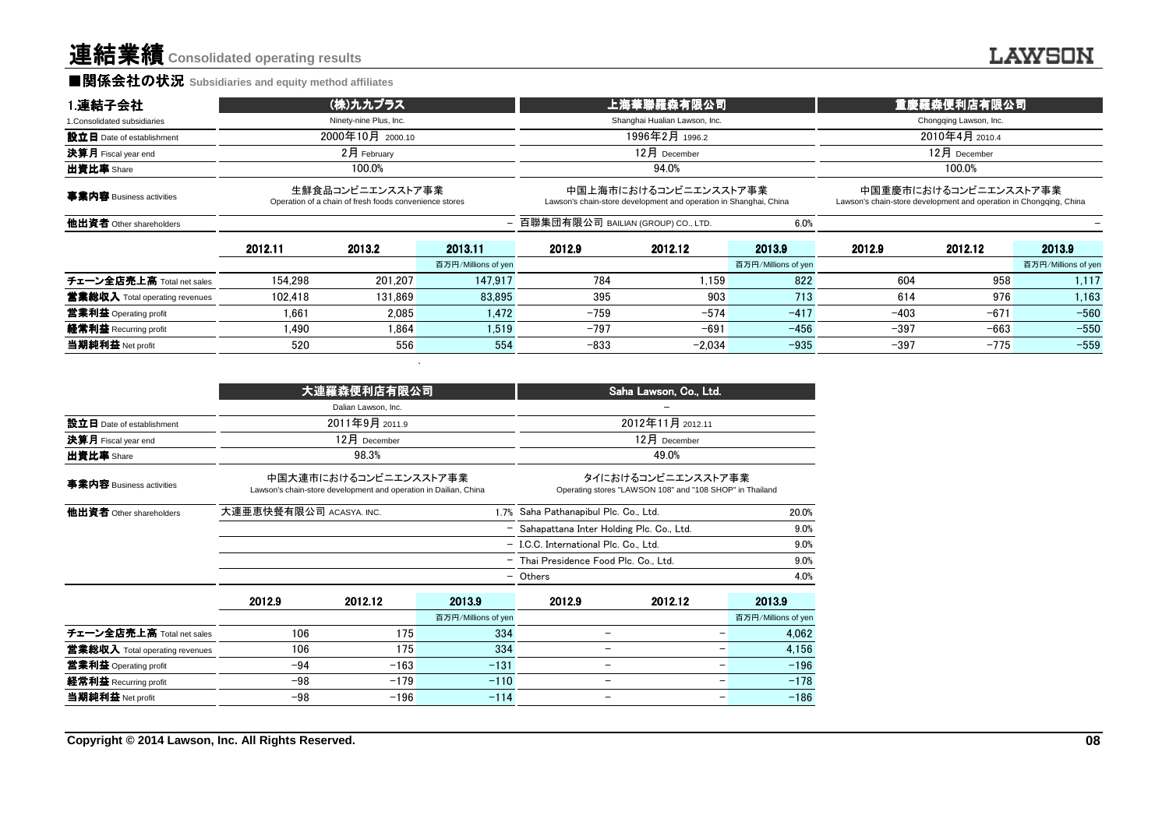### ■関係会社の状況 **Subsidiaries and equity method affiliates**

| 1.連結子会社                               |                                                                            | (株)九九プラス               |                                      | 上海華聯羅森有限公司                                                                                 |          | 重慶羅森便利店有限公司         |                                                                    |                       |                     |
|---------------------------------------|----------------------------------------------------------------------------|------------------------|--------------------------------------|--------------------------------------------------------------------------------------------|----------|---------------------|--------------------------------------------------------------------|-----------------------|---------------------|
| 1. Consolidated subsidiaries          |                                                                            | Ninety-nine Plus, Inc. |                                      | Shanghai Hualian Lawson, Inc.                                                              |          |                     | Chongqing Lawson, Inc.                                             |                       |                     |
| 設立日 Date of establishment             | 2000年10月 2000.10                                                           |                        |                                      | 1996年2月 1996.2                                                                             |          |                     | 2010年4月 2010.4                                                     |                       |                     |
| 決算月 Fiscal year end                   | $2$ 月 February                                                             |                        |                                      | $12$ 月 December                                                                            |          |                     | $12$ 月 December                                                    |                       |                     |
| 出資比率 Share                            | 100.0%                                                                     |                        |                                      | 94.0%                                                                                      |          |                     | 100.0%                                                             |                       |                     |
| 事業内容 Business activities              | 生鮮食品コンビニエンスストア事業<br>Operation of a chain of fresh foods convenience stores |                        |                                      | 中国上海市におけるコンビニエンスストア事業<br>Lawson's chain-store development and operation in Shanghai, China |          |                     | Lawson's chain-store development and operation in Chongqing, China | 中国重慶市におけるコンビニエンスストア事業 |                     |
| 他出資者 Other shareholders               |                                                                            |                        | - 百聯集団有限公司 BAILIAN (GROUP) CO., LTD. |                                                                                            |          |                     |                                                                    |                       |                     |
|                                       | 2012.11                                                                    | 2013.2                 | 2013.11                              | 2012.9                                                                                     | 2012.12  | 2013.9              | 2012.9                                                             | 2012.12               | 2013.9              |
|                                       |                                                                            |                        | 百万円/Millions of yen                  |                                                                                            |          | 百万円/Millions of yen |                                                                    |                       | 百万円/Millions of yen |
| チェーン全店売上高 Total net sales             | 154.298                                                                    | 201.207                | 147.917                              | 784                                                                                        | 1.159    | 822                 | 604                                                                | 958                   | 1.117               |
| <b>営業総収入</b> Total operating revenues | 102.418                                                                    | 131.869                | 83.895                               | 395                                                                                        | 903      | 713                 | 614                                                                | 976                   | 1,163               |
| 営業利益 Operating profit                 | 1.661                                                                      | 2.085                  | 1.472                                | -759                                                                                       | $-574$   | $-417$              | $-403$                                                             | $-671$                | $-560$              |
| 経常利益 Recurring profit                 | 1.490                                                                      | 1.864                  | 1.519                                | $-797$                                                                                     | $-691$   | $-456$              | $-397$                                                             | $-663$                | $-550$              |
| 当期純利益 Net profit                      | 520                                                                        | 556                    | 554                                  | $-833$                                                                                     | $-2.034$ | $-935$              | $-397$                                                             | $-775$                | $-559$              |

|                                |        | 大連羅森便利店有限公司                                                                               |                     | Saha Lawson, Co., Ltd.                                                         |                  |                     |  |
|--------------------------------|--------|-------------------------------------------------------------------------------------------|---------------------|--------------------------------------------------------------------------------|------------------|---------------------|--|
|                                |        | Dalian Lawson, Inc.                                                                       |                     |                                                                                |                  |                     |  |
| 設立日 Date of establishment      |        | 2011年9月 2011.9                                                                            |                     |                                                                                | 2012年11月 2012.11 |                     |  |
| 決算月 Fiscal year end            |        | 12月 December                                                                              |                     |                                                                                | $12月$ December   |                     |  |
| 出資比率 Share                     |        | 98.3%                                                                                     |                     |                                                                                | 49.0%            |                     |  |
| 事業内容 Business activities       |        | 中国大連市におけるコンビニエンスストア事業<br>Lawson's chain-store development and operation in Dailian, China |                     | タイにおけるコンビニエンスストア事業<br>Operating stores "LAWSON 108" and "108 SHOP" in Thailand |                  |                     |  |
| 他出資者 Other shareholders        |        | 大連亜恵快餐有限公司 ACASYA. INC.<br>1.7% Saha Pathanapibul Plc. Co., Ltd.                          |                     |                                                                                |                  | 20.0%               |  |
|                                |        |                                                                                           |                     | - Sahapattana Inter Holding Plc. Co., Ltd.                                     |                  | 9.0%                |  |
|                                |        |                                                                                           |                     | - I.C.C. International Plc. Co., Ltd.                                          |                  | 9.0%                |  |
|                                |        |                                                                                           |                     | 9.0%<br>- Thai Presidence Food Plc. Co., Ltd.                                  |                  |                     |  |
|                                |        |                                                                                           |                     | 4.0%<br>- Others                                                               |                  |                     |  |
|                                | 2012.9 | 2012.12                                                                                   | 2013.9              | 2012.9                                                                         | 2012.12          | 2013.9              |  |
|                                |        |                                                                                           | 百万円/Millions of yen |                                                                                |                  | 百万円/Millions of yen |  |
| チェーン全店売上高 Total net sales      | 106    | 175                                                                                       | 334                 | -                                                                              |                  | 4,062               |  |
| 営業総収入 Total operating revenues | 106    | 175                                                                                       | 334                 | -                                                                              | -                | 4,156               |  |
| 営業利益 Operating profit          | $-94$  | $-163$                                                                                    | $-131$              | -                                                                              | -                | $-196$              |  |
| 経常利益 Recurring profit          | $-98$  | $-179$                                                                                    | $-110$              | $\qquad \qquad -$                                                              | -                | $-178$              |  |
| 当期純利益 Net profit               | $-98$  | $-196$                                                                                    | $-114$              | $\qquad \qquad$                                                                | -                | $-186$              |  |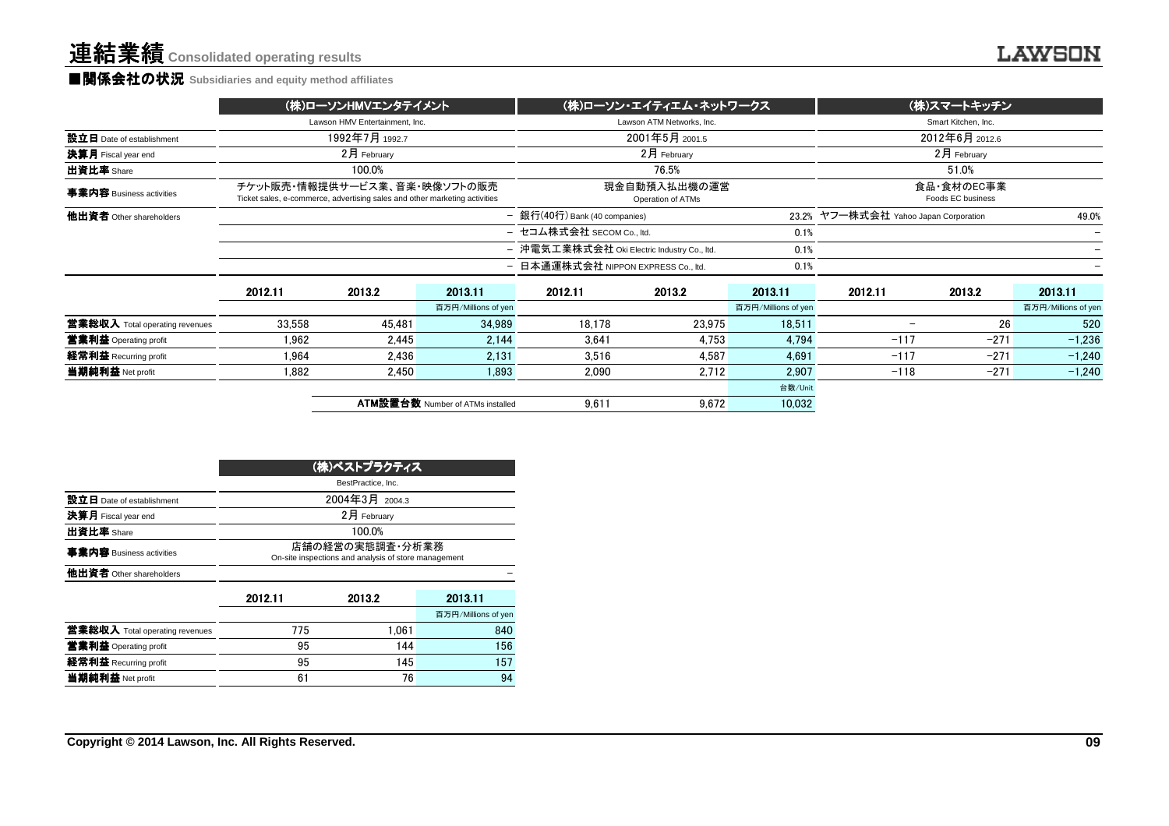#### ■関係会社の状況 **Subsidiaries and equity method affiliates**

|                            | (株)ローソンHMVエンタテイメント                                                                                         | (株)ローソン・エイティエム・ネットワークス                              | (株)スマートキッチン                                    |  |  |
|----------------------------|------------------------------------------------------------------------------------------------------------|-----------------------------------------------------|------------------------------------------------|--|--|
|                            | Lawson HMV Entertainment, Inc.                                                                             | Lawson ATM Networks, Inc.                           | Smart Kitchen, Inc.                            |  |  |
| 設立日 Date of establishment  | 1992年7月 1992.7                                                                                             | 2001年5月 2001.5                                      | 2012年6月 2012.6                                 |  |  |
| <b>決算月</b> Fiscal year end | 2月 February                                                                                                | $2$ 月 February                                      | 2月 February                                    |  |  |
| 出資比率 Share                 | 100.0%                                                                                                     | 76.5%                                               | 51.0%                                          |  |  |
| 事業内容 Business activities   | チケット販売・情報提供サービス業、音楽・映像ソフトの販売<br>Ticket sales, e-commerce, advertising sales and other marketing activities | 現金自動預入払出機の運営<br>Operation of ATMs                   | 食品·食材のEC事業<br>Foods EC business                |  |  |
| 他出資者 Other shareholders    |                                                                                                            | - 銀行(40行) Bank (40 companies)                       | 23.2% ヤフー株式会社 Yahoo Japan Corporation<br>49.0% |  |  |
|                            |                                                                                                            | - セコム株式会社 SECOM Co., ltd.<br>0.1%                   |                                                |  |  |
|                            |                                                                                                            | - 沖電気工業株式会社 Oki Electric Industry Co., ltd.<br>0.1% |                                                |  |  |
|                            |                                                                                                            | - 日本通運株式会社 NIPPON EXPRESS Co., ltd.<br>0.1%         |                                                |  |  |
|                            | <b>001011</b><br>0.100<br>001011                                                                           | <b>001011</b><br>0.100<br>001011                    | <b>001011</b><br><b>00100</b><br><b>001011</b> |  |  |

|                                       | 2012.11 | 2013.2 | 2013.11                                 | 2012.11 | 2013.2 | 2013.11             | 2012.11 | 2013.2 | 2013.11             |
|---------------------------------------|---------|--------|-----------------------------------------|---------|--------|---------------------|---------|--------|---------------------|
|                                       |         |        | 百万円/Millions of yen                     |         |        | 百万円/Millions of yen |         |        | 百万円/Millions of yen |
| <b>営業総収入</b> Total operating revenues | 33.558  | 45.481 | 34,989                                  | 18.178  | 23,975 | 18,511              |         | 26     | 520                 |
| 當業利益 Operating profit                 | 1.962   | 2,445  | 2.144                                   | 3,641   | 4.753  | 4.794               | $-117$  | $-271$ | $-1.236$            |
| 経常利益 Recurring profit                 | 1.964   | 2.436  | 2.131                                   | 3.516   | 4.587  | 4,691               | $-117$  | $-271$ | $-1.240$            |
| 当期純利益 Net profit                      | 1,882   | 2,450  | 1,893                                   | 2,090   | 2.712  | 2,907               | $-118$  | $-271$ | $-1,240$            |
|                                       |         |        |                                         |         |        | 台数/Unit             |         |        |                     |
|                                       |         |        | <b>ATM設置台数 Number of ATMs installed</b> | 9.611   | 9.672  | 10,032              |         |        |                     |
|                                       |         |        |                                         |         |        |                     |         |        |                     |

|                                       | (株)ベストプラクティス                                                            |                |                     |  |  |  |  |  |  |
|---------------------------------------|-------------------------------------------------------------------------|----------------|---------------------|--|--|--|--|--|--|
|                                       | BestPractice, Inc.                                                      |                |                     |  |  |  |  |  |  |
| 設立日 Date of establishment             |                                                                         | 2004年3月 2004.3 |                     |  |  |  |  |  |  |
| 決算月 Fiscal year end                   |                                                                         | 2月 February    |                     |  |  |  |  |  |  |
| 出資比率 Share                            |                                                                         | 100.0%         |                     |  |  |  |  |  |  |
| 事業内容 Business activities              | 店舗の経営の実態調査・分析業務<br>On-site inspections and analysis of store management |                |                     |  |  |  |  |  |  |
| 他出資者 Other shareholders               |                                                                         |                |                     |  |  |  |  |  |  |
|                                       | 2012.11                                                                 | 2013.2         | 2013.11             |  |  |  |  |  |  |
|                                       |                                                                         |                | 百万円/Millions of yen |  |  |  |  |  |  |
| <b>営業総収入</b> Total operating revenues | 775                                                                     | 1.061          | 840                 |  |  |  |  |  |  |
| 営業利益 Operating profit                 | 95                                                                      | 144            | 156                 |  |  |  |  |  |  |
| 経常利益 Recurring profit                 | 95                                                                      | 145            | 157                 |  |  |  |  |  |  |
| 当期純利益 Net profit                      | 61                                                                      | 76             | 94                  |  |  |  |  |  |  |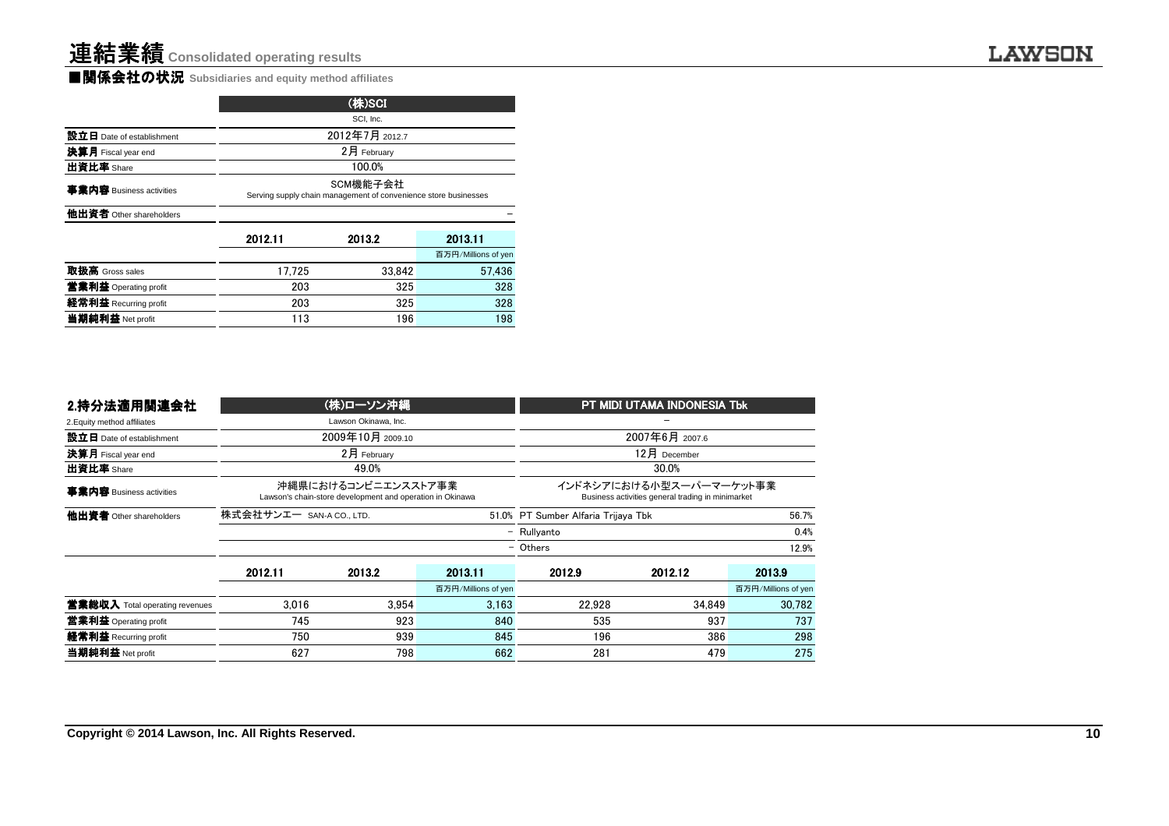■関係会社の状況 **Subsidiaries and equity method affiliates**

| SCI, Inc.                                                                   |                |                     |  |  |  |  |  |  |  |
|-----------------------------------------------------------------------------|----------------|---------------------|--|--|--|--|--|--|--|
|                                                                             | 2012年7月 2012.7 |                     |  |  |  |  |  |  |  |
|                                                                             | 2月 February    |                     |  |  |  |  |  |  |  |
| 100.0%                                                                      |                |                     |  |  |  |  |  |  |  |
| SCM機能子会社<br>Serving supply chain management of convenience store businesses |                |                     |  |  |  |  |  |  |  |
|                                                                             |                |                     |  |  |  |  |  |  |  |
| 2012.11                                                                     | 2013.2         | 2013.11             |  |  |  |  |  |  |  |
|                                                                             |                | 百万円/Millions of yen |  |  |  |  |  |  |  |
| 17.725                                                                      | 33.842         | 57.436              |  |  |  |  |  |  |  |
| 203                                                                         | 325            | 328                 |  |  |  |  |  |  |  |
| 203                                                                         | 325            | 328                 |  |  |  |  |  |  |  |
| 196<br>198<br>113                                                           |                |                     |  |  |  |  |  |  |  |
|                                                                             |                | (株)SCI              |  |  |  |  |  |  |  |

| 2.持分法適用関連会社                           |                          | (株)ローソン沖縄                                                                        |                     | PT MIDI UTAMA INDONESIA Tbk                                                  |                                     |                     |  |
|---------------------------------------|--------------------------|----------------------------------------------------------------------------------|---------------------|------------------------------------------------------------------------------|-------------------------------------|---------------------|--|
| 2. Equity method affiliates           |                          | Lawson Okinawa, Inc.                                                             |                     |                                                                              |                                     |                     |  |
| 設立日 Date of establishment             |                          | 2009年10月 2009.10                                                                 |                     |                                                                              | 2007年6月 2007.6                      |                     |  |
| 決算月 Fiscal year end                   |                          | $2月$ February                                                                    |                     |                                                                              | $12月$ December                      |                     |  |
| 出資比率 Share                            |                          | 49.0%                                                                            |                     | 30.0%                                                                        |                                     |                     |  |
| 事業内容 Business activities              |                          | 沖縄県におけるコンビニエンスストア事業<br>Lawson's chain-store development and operation in Okinawa |                     | インドネシアにおける小型スーパーマーケット事業<br>Business activities general trading in minimarket |                                     |                     |  |
| 他出資者 Other shareholders               | 株式会社サンエー SAN-A CO., LTD. |                                                                                  |                     |                                                                              | 51.0% PT Sumber Alfaria Trijaya Tbk |                     |  |
|                                       |                          |                                                                                  |                     | - Rullyanto                                                                  |                                     | 0.4%                |  |
|                                       |                          |                                                                                  |                     | - Others<br>12.9%                                                            |                                     |                     |  |
|                                       | 2012.11                  | 2013.2                                                                           | 2013.11             | 2012.9                                                                       | 2012.12                             | 2013.9              |  |
|                                       |                          |                                                                                  | 百万円/Millions of yen |                                                                              |                                     | 百万円/Millions of yer |  |
| <b>営業総収入</b> Total operating revenues | 3.016                    | 3.954                                                                            | 3.163               | 22.928                                                                       | 34.849                              | 30.782              |  |
| 営業利益 Operating profit                 | 745                      | 923                                                                              | 840                 | 535                                                                          | 937                                 | 737                 |  |
| 経常利益 Recurring profit                 | 750                      | 939                                                                              | 845                 | 196                                                                          | 386                                 | 298                 |  |
| 当期純利益 Net profit                      | 627                      | 798                                                                              | 662                 | 281                                                                          | 479                                 | 275                 |  |
|                                       |                          |                                                                                  |                     |                                                                              |                                     |                     |  |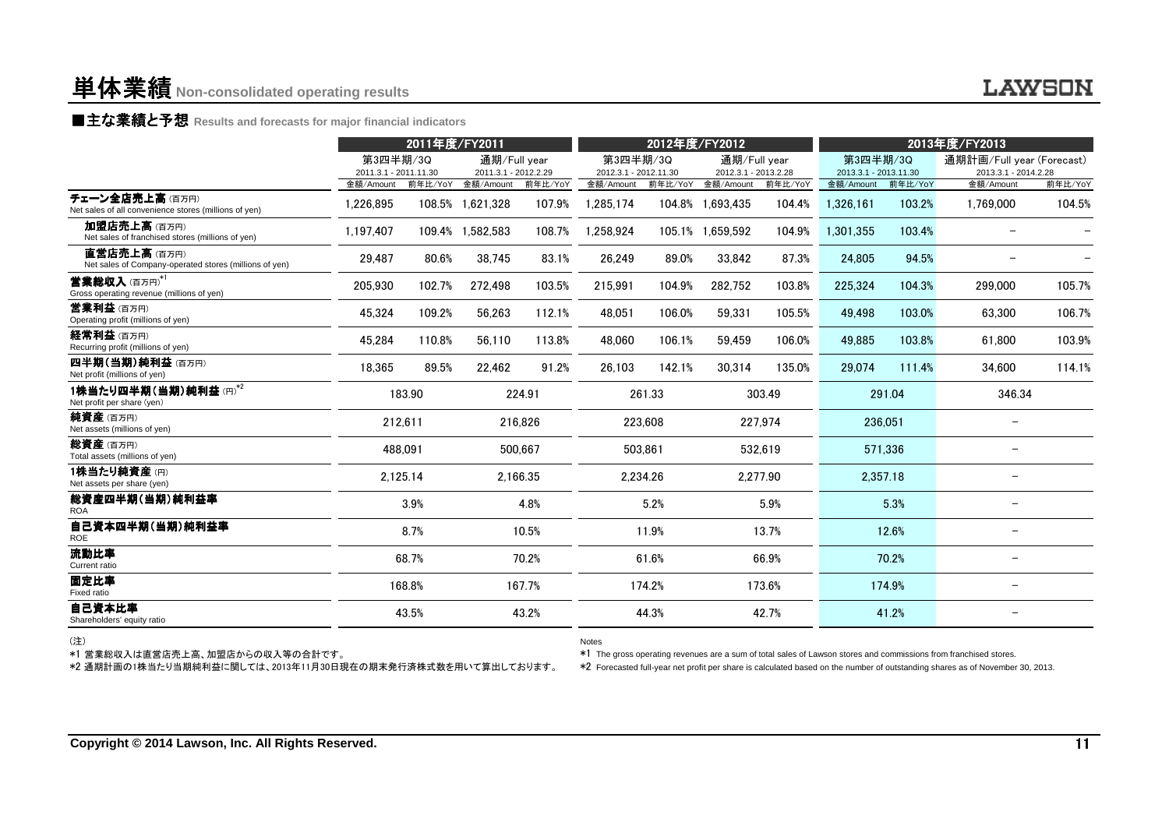### ■主な業績と予想 Results and forecasts for major financial indicators<br>←←←←←←

|                                                                                                       |                                   | 2011年度/FY2011 |                                      |          | 2012年度/FY2012                     |         |                                      | 2013年度/FY2013 |                                   |         |                                                                                                                                                                                                                                                    |         |
|-------------------------------------------------------------------------------------------------------|-----------------------------------|---------------|--------------------------------------|----------|-----------------------------------|---------|--------------------------------------|---------------|-----------------------------------|---------|----------------------------------------------------------------------------------------------------------------------------------------------------------------------------------------------------------------------------------------------------|---------|
|                                                                                                       | 第3四半期/3Q<br>2011.3.1 - 2011.11.30 |               | 通期/Full year<br>2011.3.1 - 2012.2.29 |          | 第3四半期/3Q<br>2012.3.1 - 2012.11.30 |         | 通期/Full year<br>2012.3.1 - 2013.2.28 |               | 第3四半期/3Q<br>2013.3.1 - 2013.11.30 |         | 通期計画/Full year (Forecast)<br>2013.3.1 - 2014.2.28                                                                                                                                                                                                  |         |
|                                                                                                       | 金額/Amount                         | 前年比/YoY       | 金額/Amount                            | 前年比/YoY  | 金額/Amount                         | 前年比/YoY | 金額/Amount                            | 前年比/YoY       | 金額/Amount                         | 前年比/YoY | 金額/Amount                                                                                                                                                                                                                                          | 前年比/YoY |
| チェーン全店売上高(百万円)<br>Net sales of all convenience stores (millions of yen)                               | 1,226,895                         |               | 108.5% 1,621,328                     | 107.9%   | 1.285.174                         |         | 104.8% 1,693,435                     | 104.4%        | 1,326,161                         | 103.2%  | 1,769,000                                                                                                                                                                                                                                          | 104.5%  |
| 加盟店売上高(百万円)<br>Net sales of franchised stores (millions of yen)                                       | 1.197.407                         |               | 109.4% 1,582,583                     | 108.7%   | 1,258,924                         |         | 105.1% 1,659,592                     | 104.9%        | 1,301,355                         | 103.4%  |                                                                                                                                                                                                                                                    |         |
| 直営店売上高(百万円)<br>Net sales of Company-operated stores (millions of yen)                                 | 29,487                            | 80.6%         | 38,745                               | 83.1%    | 26,249                            | 89.0%   | 33,842                               | 87.3%         | 24,805                            | 94.5%   |                                                                                                                                                                                                                                                    |         |
| 営業総収入(百万円)*1<br>Gross operating revenue (millions of yen)                                             | 205.930                           | 102.7%        | 272.498                              | 103.5%   | 215.991                           | 104.9%  | 282.752                              | 103.8%        | 225.324                           | 104.3%  | 299,000                                                                                                                                                                                                                                            | 105.7%  |
| 営業利益(百万円)<br>Operating profit (millions of yen)                                                       | 45,324                            | 109.2%        | 56,263                               | 112.1%   | 48.051                            | 106.0%  | 59,331                               | 105.5%        | 49,498                            | 103.0%  | 63.300                                                                                                                                                                                                                                             | 106.7%  |
| 経常利益(百万円)<br>Recurring profit (millions of yen)                                                       | 45.284                            | 110.8%        | 56.110                               | 113.8%   | 48.060                            | 106.1%  | 59.459                               | 106.0%        | 49.885                            | 103.8%  | 61.800                                                                                                                                                                                                                                             | 103.9%  |
| 四半期(当期)純利益(百万円)<br>Net profit (millions of yen)                                                       | 18.365                            | 89.5%         | 22.462                               | 91.2%    | 26.103                            | 142.1%  | 30.314                               | 135.0%        | 29.074                            | 111.4%  | 34.600                                                                                                                                                                                                                                             | 114.1%  |
| 1株当たり四半期(当期)純利益(円)*2<br>Net profit per share (yen)                                                    |                                   | 183.90        |                                      | 224.91   |                                   | 261.33  |                                      | 303.49        |                                   | 291.04  | 346.34                                                                                                                                                                                                                                             |         |
| <b>純資産</b> (百万円)<br>Net assets (millions of yen)                                                      |                                   | 212.611       |                                      | 216.826  |                                   | 223.608 |                                      | 227.974       | 236.051                           |         |                                                                                                                                                                                                                                                    |         |
| 総資産(百万円)<br>Total assets (millions of yen)                                                            |                                   | 488.091       |                                      | 500.667  | 503.861                           |         |                                      | 532.619       |                                   | 571.336 |                                                                                                                                                                                                                                                    |         |
| 1株当たり純資産(円)<br>Net assets per share (yen)                                                             |                                   | 2,125.14      |                                      | 2.166.35 | 2.234.26                          |         |                                      | 2,277.90      | 2.357.18                          |         |                                                                                                                                                                                                                                                    |         |
| 総資産四半期(当期)純利益率<br><b>ROA</b>                                                                          |                                   | 3.9%          |                                      | 4.8%     |                                   | 5.2%    |                                      | 5.9%          |                                   | 5.3%    |                                                                                                                                                                                                                                                    |         |
| 自己資本四半期(当期)純利益率<br>ROE                                                                                |                                   | 8.7%          |                                      | 10.5%    |                                   | 11.9%   |                                      | 13.7%         |                                   | 12.6%   |                                                                                                                                                                                                                                                    |         |
| 流動比率<br>Current ratio                                                                                 |                                   | 68.7%         |                                      | 70.2%    |                                   | 61.6%   |                                      | 66.9%         |                                   | 70.2%   |                                                                                                                                                                                                                                                    |         |
| 固定比率<br>Fixed ratio                                                                                   |                                   | 168.8%        |                                      | 167.7%   |                                   | 174.2%  |                                      | 173.6%        |                                   | 174.9%  | $\overline{\phantom{0}}$                                                                                                                                                                                                                           |         |
| 自己資本比率<br>Shareholders' equity ratio                                                                  |                                   | 43.5%         |                                      | 43.2%    |                                   | 44.3%   |                                      | 42.7%         |                                   | 41.2%   | $\overline{\phantom{0}}$                                                                                                                                                                                                                           |         |
| (注)<br>*1 営業総収入は直営店売上高、加盟店からの収入等の合計です。<br>*2 通期計画の1株当たり当期純利益に関しては、2013年11月30日現在の期末発行済株式数を用いて算出しております。 |                                   |               |                                      |          | <b>Notes</b>                      |         |                                      |               |                                   |         | *1 The gross operating revenues are a sum of total sales of Lawson stores and commissions from franchised stores.<br>*2 Forecasted full-year net profit per share is calculated based on the number of outstanding shares as of November 30, 2013. |         |

(注)

\*2 通期計画の1株当たり当期純利益に関しては、2013年11月30日現在の期末発行済株式数を用いて算出しております。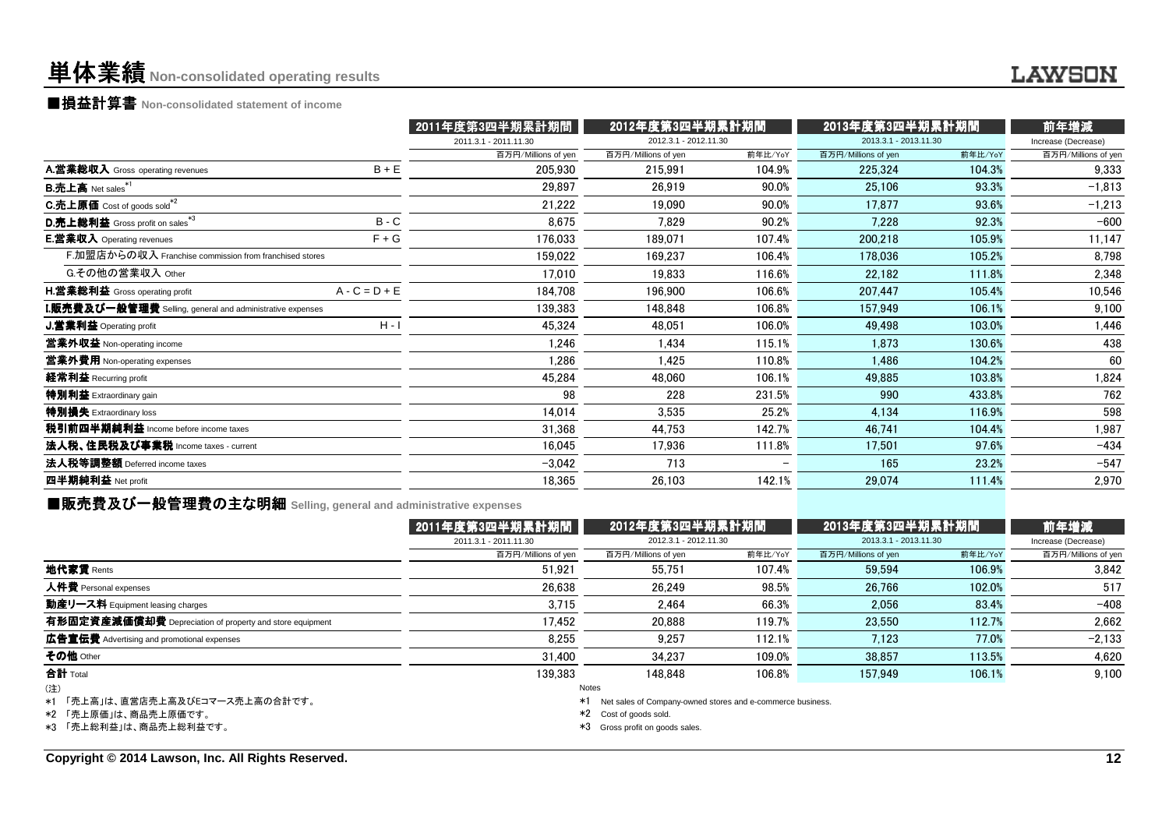### 単体業績**Non-consolidated operating results**

■損益計算書 **Non-consolidated statement of income**

|                                                                    |                 | 2011年度第3四半期累計期間       | 2012年度第3四半期累計期間       |         | 2013年度第3四半期累計期間       |         | 前年増減                |
|--------------------------------------------------------------------|-----------------|-----------------------|-----------------------|---------|-----------------------|---------|---------------------|
|                                                                    |                 | 2011.3.1 - 2011.11.30 | 2012.3.1 - 2012.11.30 |         | 2013.3.1 - 2013.11.30 |         | Increase (Decrease) |
|                                                                    |                 | 百万円/Millions of yen   | 百万円/Millions of yen   | 前年比/YoY | 百万円/Millions of yen   | 前年比/YoY | 百万円/Millions of yen |
| A.営業総収入 Gross operating revenues                                   | $B + E$         | 205,930               | 215,991               | 104.9%  | 225.324               | 104.3%  | 9,333               |
| <b>B.売上高</b> Net sales <sup>*1</sup>                               |                 | 29,897                | 26,919                | 90.0%   | 25,106                | 93.3%   | $-1,813$            |
| <b>C.売上原価</b> Cost of goods sold <sup>*2</sup>                     |                 | 21,222                | 19.090                | 90.0%   | 17.877                | 93.6%   | $-1,213$            |
| D.売上総利益 Gross profit on sales <sup>*3</sup>                        | $B - C$         | 8,675                 | 7,829                 | 90.2%   | 7,228                 | 92.3%   | $-600$              |
| <b>E.営業収入</b> Operating revenues                                   | $F + G$         | 176,033               | 189,071               | 107.4%  | 200,218               | 105.9%  | 11,147              |
| F.加盟店からの収入 Franchise commission from franchised stores             |                 | 159,022               | 169,237               | 106.4%  | 178,036               | 105.2%  | 8,798               |
| G.その他の営業収入 Other                                                   |                 | 17.010                | 19,833                | 116.6%  | 22.182                | 111.8%  | 2,348               |
| H.営業総利益 Gross operating profit                                     | $A - C = D + E$ | 184,708               | 196,900               | 106.6%  | 207.447               | 105.4%  | 10,546              |
| ${\bf I}.$ 販売費及び一般管理費 Selling, general and administrative expenses |                 | 139,383               | 148,848               | 106.8%  | 157,949               | 106.1%  | 9,100               |
| <b>J.営業利益</b> Operating profit                                     | $H - I$         | 45.324                | 48,051                | 106.0%  | 49.498                | 103.0%  | 1,446               |
| 當業外収益 Non-operating income                                         |                 | 1,246                 | 1,434                 | 115.1%  | 1,873                 | 130.6%  | 438                 |
| 営業外費用 Non-operating expenses                                       |                 | 1,286                 | 1,425                 | 110.8%  | 1,486                 | 104.2%  | 60                  |
| 経常利益 Recurring profit                                              |                 | 45,284                | 48,060                | 106.1%  | 49,885                | 103.8%  | 1,824               |
| 特別利益 Extraordinary gain                                            |                 | 98                    | 228                   | 231.5%  | 990                   | 433.8%  | 762                 |
| 特別損失 Extraordinary loss                                            |                 | 14,014                | 3,535                 | 25.2%   | 4,134                 | 116.9%  | 598                 |
| 税引前四半期純利益 Income before income taxes                               |                 | 31,368                | 44,753                | 142.7%  | 46,741                | 104.4%  | 1,987               |
| 法人税、住民税及び事業税 Income taxes - current                                |                 | 16,045                | 17,936                | 111.8%  | 17,501                | 97.6%   | $-434$              |
| 法人税等調整額 Deferred income taxes                                      |                 | $-3.042$              | 713                   |         | 165                   | 23.2%   | $-547$              |
| 四半期純利益 Net profit                                                  |                 | 18,365                | 26,103                | 142.1%  | 29,074                | 111.4%  | 2,970               |
|                                                                    |                 |                       |                       |         |                       |         |                     |

■販売費及び一般管理費の主な明細 **Selling, general and administrative expenses**

|                                                          | 2011年度第3四半期累計期間       | 2012年度第3四半期累計期間                                                  |         | 2013年度第3四半期累計期間       |         | 前年増減                |  |
|----------------------------------------------------------|-----------------------|------------------------------------------------------------------|---------|-----------------------|---------|---------------------|--|
|                                                          | 2011.3.1 - 2011.11.30 | 2012.3.1 - 2012.11.30                                            |         | 2013.3.1 - 2013.11.30 |         | Increase (Decrease) |  |
|                                                          | 百万円/Millions of yen   | 百万円/Millions of yen                                              | 前年比/YoY | 百万円/Millions of yen   | 前年比/YoY | 百万円/Millions of yen |  |
| 地代家賃 Rents                                               | 51.921                | 55.751                                                           | 107.4%  | 59.594                | 106.9%  | 3.842               |  |
| 人件費 Personal expenses                                    | 26.638                | 26.249                                                           | 98.5%   | 26.766                | 102.0%  | 517                 |  |
| 動産リース料 Equipment leasing charges                         | 3.715                 | 2.464                                                            | 66.3%   | 2.056                 | 83.4%   | $-408$              |  |
| 有形固定資産減価償却費 Depreciation of property and store equipment | 17.452                | 20,888                                                           | 119.7%  | 23,550                | 112.7%  | 2.662               |  |
| 広告宣伝費 Advertising and promotional expenses               | 8.255                 | 9.257                                                            | 112.1%  | 7.123                 | 77.0%   | $-2,133$            |  |
| その他 Other                                                | 31.400                | 34.237                                                           | 109.0%  | 38.857                | 113.5%  | 4,620               |  |
| <b>合計</b> Total                                          | 139.383               | 148.848                                                          | 106.8%  | 157.949               | 106.1%  | 9.100               |  |
| (注)                                                      |                       | Notes                                                            |         |                       |         |                     |  |
| *1 「売上高」は、直営店売上高及びEコマース売上高の合計です。                         |                       | Net sales of Company-owned stores and e-commerce business.<br>*1 |         |                       |         |                     |  |
| *2 「売上原価」は、商品売上原価です。                                     |                       | *2 Cost of goods sold.                                           |         |                       |         |                     |  |
| *3 「売上総利益」は、商品売上総利益です。                                   |                       | *3<br>Gross profit on goods sales.                               |         |                       |         |                     |  |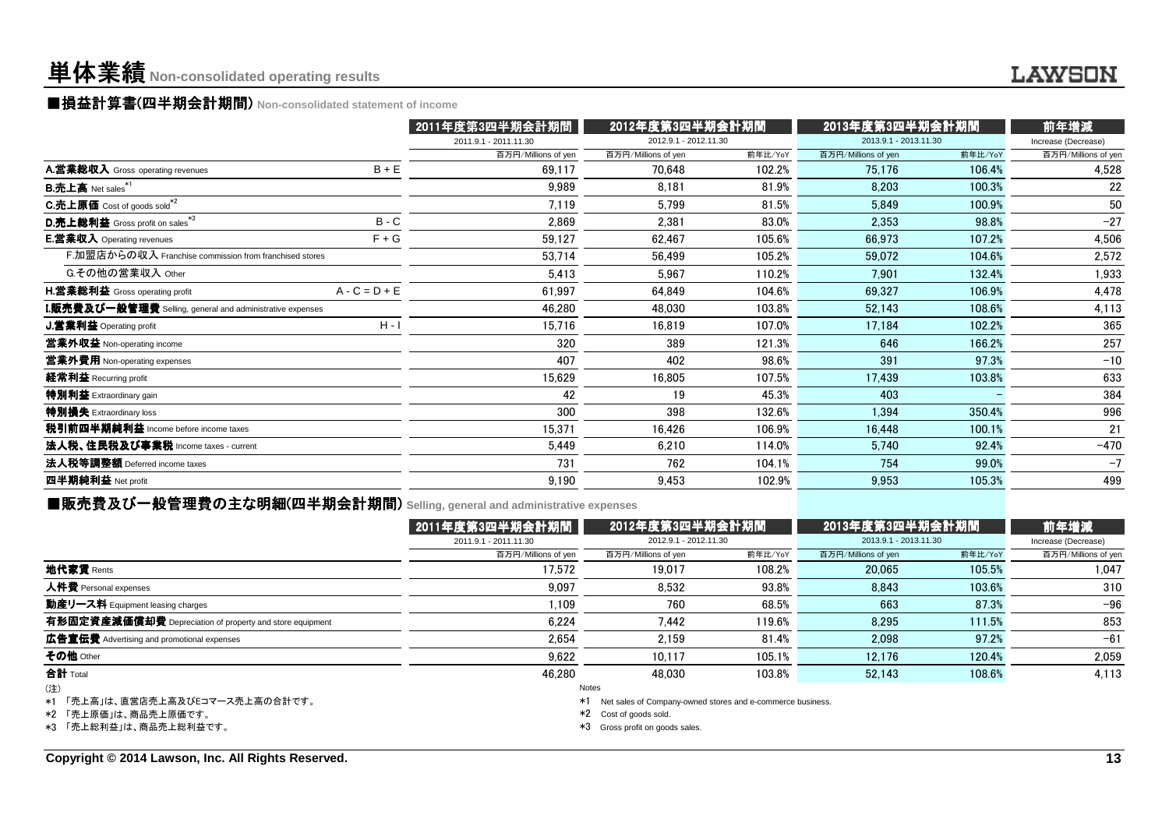## 単体業績**Non-consolidated operating results**

### ■損益計算書(四半期会計期間) Non-consolidated statement of income<br><del>- - - - - -</del>

|                                                                    |                 | 2011年度第3四半期会計期間       | 2012年度第3四半期会計期間       |         | 2013年度第3四半期会計期間       |         | 前年増減                |
|--------------------------------------------------------------------|-----------------|-----------------------|-----------------------|---------|-----------------------|---------|---------------------|
|                                                                    |                 | 2011.9.1 - 2011.11.30 | 2012.9.1 - 2012.11.30 |         | 2013.9.1 - 2013.11.30 |         | Increase (Decrease) |
|                                                                    |                 | 百万円/Millions of yen   | 百万円/Millions of yen   | 前年比/YoY | 百万円/Millions of yen   | 前年比/YoY | 百万円/Millions of yen |
| A.営業総収入 Gross operating revenues                                   | $B + E$         | 69,117                | 70,648                | 102.2%  | 75.176                | 106.4%  | 4,528               |
| B.売上高 Net sales*1                                                  |                 | 9.989                 | 8.181                 | 81.9%   | 8.203                 | 100.3%  | 22                  |
| <b>C.売上原価</b> Cost of goods sold <sup>*2</sup>                     |                 | 7,119                 | 5,799                 | 81.5%   | 5,849                 | 100.9%  | 50                  |
| D.売上総利益 Gross profit on sales*3                                    | $B - C$         | 2,869                 | 2,381                 | 83.0%   | 2,353                 | 98.8%   | $-27$               |
| <b>E.営業収入</b> Operating revenues                                   | $F + G$         | 59.127                | 62,467                | 105.6%  | 66,973                | 107.2%  | 4,506               |
| F.加盟店からの収入 Franchise commission from franchised stores             |                 | 53,714                | 56,499                | 105.2%  | 59,072                | 104.6%  | 2,572               |
| G.その他の営業収入 Other                                                   |                 | 5.413                 | 5,967                 | 110.2%  | 7.901                 | 132.4%  | 1,933               |
| <b>H.営業総利益</b> Gross operating profit                              | $A - C = D + E$ | 61,997                | 64,849                | 104.6%  | 69.327                | 106.9%  | 4,478               |
| ${\bf I}.$ 販売費及び一般管理費 Selling, general and administrative expenses |                 | 46,280                | 48,030                | 103.8%  | 52,143                | 108.6%  | 4,113               |
| J.営業利益 Operating profit                                            | $H - I$         | 15,716                | 16,819                | 107.0%  | 17.184                | 102.2%  | 365                 |
| 営業外収益 Non-operating income                                         |                 | 320                   | 389                   | 121.3%  | 646                   | 166.2%  | 257                 |
| 営業外費用 Non-operating expenses                                       |                 | 407                   | 402                   | 98.6%   | 391                   | 97.3%   | $-10$               |
| 経常利益 Recurring profit                                              |                 | 15,629                | 16,805                | 107.5%  | 17,439                | 103.8%  | 633                 |
| 特別利益 Extraordinary gain                                            |                 | 42                    | 19                    | 45.3%   | 403                   |         | 384                 |
| 特別損失 Extraordinary loss                                            |                 | 300                   | 398                   | 132.6%  | 1,394                 | 350.4%  | 996                 |
| 税引前四半期純利益 Income before income taxes                               |                 | 15,371                | 16,426                | 106.9%  | 16,448                | 100.1%  | 21                  |
| 法人税、住民税及び事業税 Income taxes - current                                |                 | 5,449                 | 6.210                 | 114.0%  | 5.740                 | 92.4%   | $-470$              |
| 法人税等調整額 Deferred income taxes                                      |                 | 731                   | 762                   | 104.1%  | 754                   | 99.0%   | $-7$                |
| 四半期純利益 Net profit                                                  |                 | 9,190                 | 9,453                 | 102.9%  | 9,953                 | 105.3%  | 499                 |
|                                                                    |                 |                       |                       |         |                       |         |                     |

### ■販売費及び一般管理費の主な明細(四半期会計期間 (四半期会計期間) **Selling, general and administrative expenses**

|                                                          | 2011年度第3四半期会計期間       | 2012年度第3四半期会計期間                                                  |         | 2013年度第3四半期会計期間       |         | 前年増減                |  |
|----------------------------------------------------------|-----------------------|------------------------------------------------------------------|---------|-----------------------|---------|---------------------|--|
|                                                          | 2011.9.1 - 2011.11.30 | 2012.9.1 - 2012.11.30                                            |         | 2013.9.1 - 2013.11.30 |         | Increase (Decrease) |  |
|                                                          | 百万円/Millions of yen   | 百万円/Millions of yen                                              | 前年比/YoY | 百万円/Millions of yen   | 前年比/YoY | 百万円/Millions of yen |  |
| 地代家賃 Rents                                               | 17.572                | 19.017                                                           | 108.2%  | 20.065                | 105.5%  | 1.047               |  |
| 人件費 Personal expenses                                    | 9.097                 | 8.532                                                            | 93.8%   | 8.843                 | 103.6%  | 310                 |  |
| 動産リース料 Equipment leasing charges                         | 1.109                 | 760                                                              | 68.5%   | 663                   | 87.3%   | $-96$               |  |
| 有形固定資産減価償却費 Depreciation of property and store equipment | 6.224                 | 7.442                                                            | 119.6%  | 8.295                 | 111.5%  | 853                 |  |
| 広告宣伝費 Advertising and promotional expenses               | 2,654                 | 2.159                                                            | 81.4%   | 2.098                 | 97.2%   | $-61$               |  |
| その他 Other                                                | 9.622                 | 10.117                                                           | 105.1%  | 12.176                | 120.4%  | 2,059               |  |
| <b>合計</b> Total                                          | 46.280                | 48.030                                                           | 103.8%  | 52.143                | 108.6%  | 4,113               |  |
| (注)                                                      |                       | Notes                                                            |         |                       |         |                     |  |
| *1 「売上高」は、直営店売上高及びEコマース売上高の合計です。                         |                       | Net sales of Company-owned stores and e-commerce business.<br>*1 |         |                       |         |                     |  |
| *2 「売上原価」は、商品売上原価です。                                     |                       | *2 Cost of goods sold.                                           |         |                       |         |                     |  |
| *3 「売上総利益」は、商品売上総利益です。                                   |                       | *3<br>Gross profit on goods sales.                               |         |                       |         |                     |  |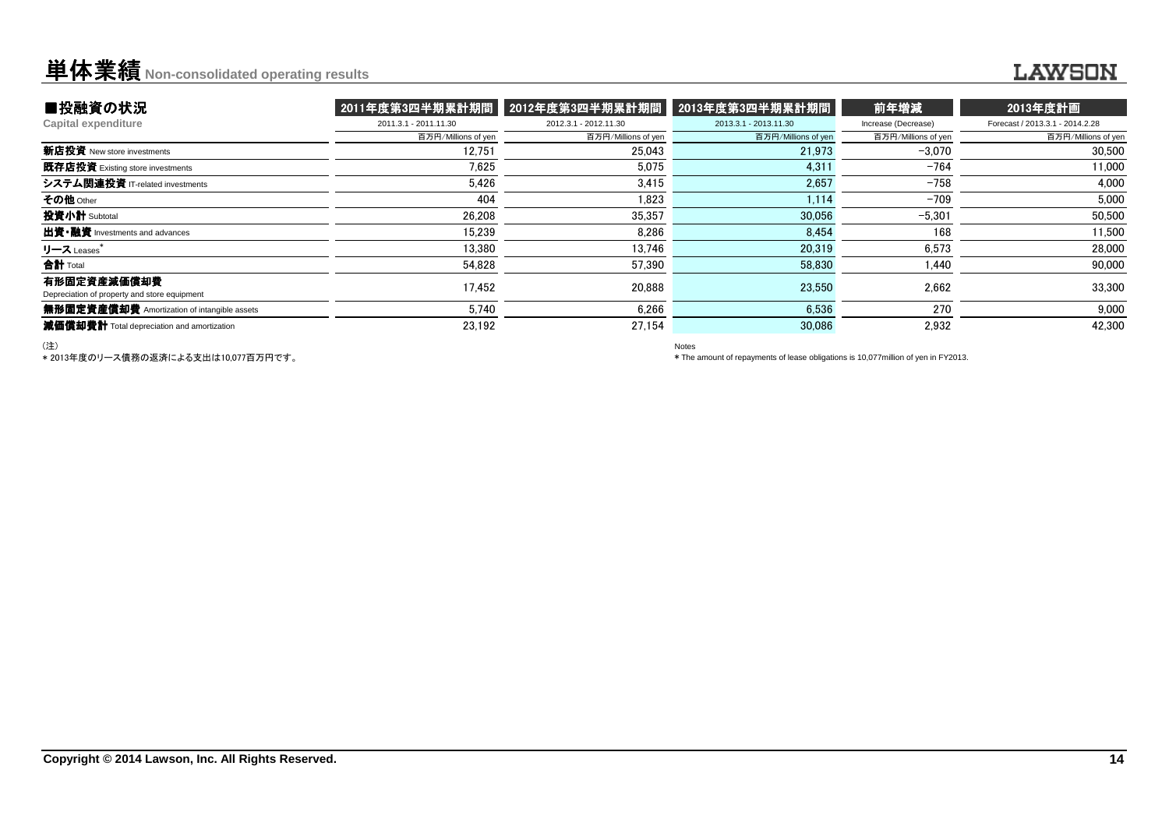## **单体業績** Non-consolidated operating results

### **LAWSON**

| ■投融資の状況                                                     | 2011年度第3四半期累計期間       | 2012年度第3四半期累計期間       | 2013年度第3四半期累計期間       | 前年増減                | 2013年度計画                        |
|-------------------------------------------------------------|-----------------------|-----------------------|-----------------------|---------------------|---------------------------------|
| Capital expenditure                                         | 2011.3.1 - 2011.11.30 | 2012.3.1 - 2012.11.30 | 2013.3.1 - 2013.11.30 | Increase (Decrease) | Forecast / 2013.3.1 - 2014.2.28 |
|                                                             | 百万円/Millions of yen   | 百万円/Millions of yen   | 百万円/Millions of yen   | 百万円/Millions of yen | 百万円/Millions of yen             |
| 新店投資 New store investments                                  | 12.751                | 25.043                | 21,973                | $-3.070$            | 30,500                          |
| 既存店投資 Existing store investments                            | 7.625                 | 5.075                 | 4,311                 | $-764$              | 11,000                          |
| システム関連投資 IT-related investments                             | 5.426                 | 3.415                 | 2.657                 | $-758$              | 4.000                           |
| その他 Other                                                   | 404                   | 1,823                 | 1,114                 | $-709$              | 5,000                           |
| 投資小計 Subtotal                                               | 26.208                | 35,357                | 30,056                | $-5,301$            | 50,500                          |
| 出資•融資 Investments and advances                              | 15.239                | 8.286                 | 8,454                 | 168                 | 11,500                          |
| リース Leases                                                  | 13.380                | 13.746                | 20,319                | 6.573               | 28,000                          |
| 合計 Total                                                    | 54.828                | 57.390                | 58.830                | 1.440               | 90,000                          |
| 有形固定資産減価償却費<br>Depreciation of property and store equipment | 17.452                | 20.888                | 23,550                | 2.662               | 33,300                          |
| 無形固定資産償却費 Amortization of intangible assets                 | 5.740                 | 6.266                 | 6.536                 | 270                 | 9,000                           |
| 減価償却費計 Total depreciation and amortization                  | 23.192                | 27.154                | 30.086                | 2.932               | 42.300                          |

(注)

\* 2013年度のリース債務の返済による支出は10,077百万円です。

Notes

\* The amount of repayments of lease obligations is 10,077million of yen in FY2013.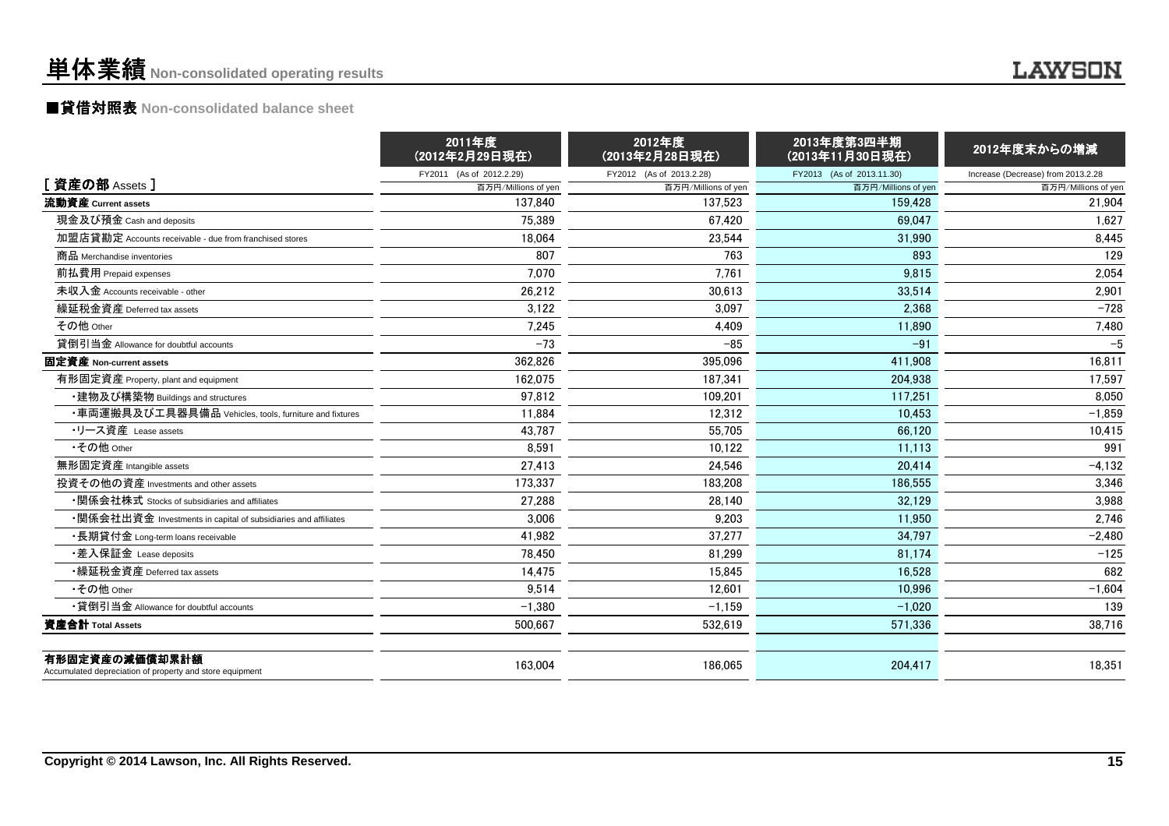## 単体業績**Non-consolidated operating results**

### **LAWSON**

## ■貸借対照表 **Non-consolidated balance sheet**

|                                                                            | 2011年度<br>(2012年2月29日現在) | 2012年度<br>(2013年2月28日現在) | 2013年度第3四半期<br>(2013年11月30日現在) | 2012年度末からの増減                       |
|----------------------------------------------------------------------------|--------------------------|--------------------------|--------------------------------|------------------------------------|
|                                                                            | FY2011 (As of 2012.2.29) | FY2012 (As of 2013.2.28) | FY2013 (As of 2013.11.30)      | Increase (Decrease) from 2013.2.28 |
| [資産の部 Assets]                                                              | 百万円/Millions of yen      | 百万円/Millions of yen      | 百万円/Millions of yen            | 百万円/Millions of yen                |
| 流動資産 Current assets                                                        | 137.840                  | 137.523                  | 159.428                        | 21,904                             |
| 現金及び預金 Cash and deposits                                                   | 75,389                   | 67.420                   | 69.047                         | 1,627                              |
| 加盟店貸勘定 Accounts receivable - due from franchised stores                    | 18,064                   | 23,544                   | 31,990                         | 8,445                              |
| 商品 Merchandise inventories                                                 | 807                      | 763                      | 893                            | 129                                |
| 前払費用 Prepaid expenses                                                      | 7.070                    | 7.761                    | 9,815                          | 2,054                              |
| 未収入金 Accounts receivable - other                                           | 26.212                   | 30.613                   | 33.514                         | 2.901                              |
| 繰延税金資産 Deferred tax assets                                                 | 3.122                    | 3.097                    | 2.368                          | $-728$                             |
| その他 Other                                                                  | 7,245                    | 4,409                    | 11,890                         | 7,480                              |
| 貸倒引当金 Allowance for doubtful accounts                                      | $-73$                    | $-85$                    | $-91$                          | $-5$                               |
| 固定資産 Non-current assets                                                    | 362,826                  | 395,096                  | 411,908                        | 16,811                             |
| 有形固定資産 Property, plant and equipment                                       | 162.075                  | 187.341                  | 204.938                        | 17,597                             |
| ・建物及び構築物 Buildings and structures                                          | 97,812                   | 109,201                  | 117,251                        | 8,050                              |
| ・車両運搬具及び工具器具備品 Vehicles, tools, furniture and fixtures                     | 11.884                   | 12.312                   | 10.453                         | $-1,859$                           |
| •リース資産 Lease assets                                                        | 43,787                   | 55,705                   | 66,120                         | 10,415                             |
| •その他 Other                                                                 | 8.591                    | 10.122                   | 11.113                         | 991                                |
| 無形固定資産 Intangible assets                                                   | 27,413                   | 24.546                   | 20.414                         | $-4,132$                           |
| 投資その他の資産 Investments and other assets                                      | 173,337                  | 183,208                  | 186.555                        | 3,346                              |
| •関係会社株式 Stocks of subsidiaries and affiliates                              | 27,288                   | 28,140                   | 32.129                         | 3,988                              |
| •関係会社出資金 Investments in capital of subsidiaries and affiliates             | 3,006                    | 9,203                    | 11.950                         | 2,746                              |
| •長期貸付金 Long-term loans receivable                                          | 41,982                   | 37,277                   | 34.797                         | $-2,480$                           |
| ・差入保証金 Lease deposits                                                      | 78.450                   | 81.299                   | 81.174                         | $-125$                             |
| •繰延税金資産 Deferred tax assets                                                | 14,475                   | 15,845                   | 16,528                         | 682                                |
| •その他 Other                                                                 | 9,514                    | 12,601                   | 10,996                         | $-1,604$                           |
| •貸倒引当金 Allowance for doubtful accounts                                     | $-1.380$                 | $-1.159$                 | $-1.020$                       | 139                                |
| 資産合計 Total Assets                                                          | 500,667                  | 532,619                  | 571,336                        | 38,716                             |
| 有形固定資産の減価償却累計額<br>Accumulated depreciation of property and store equipment | 163,004                  | 186,065                  | 204,417                        | 18,351                             |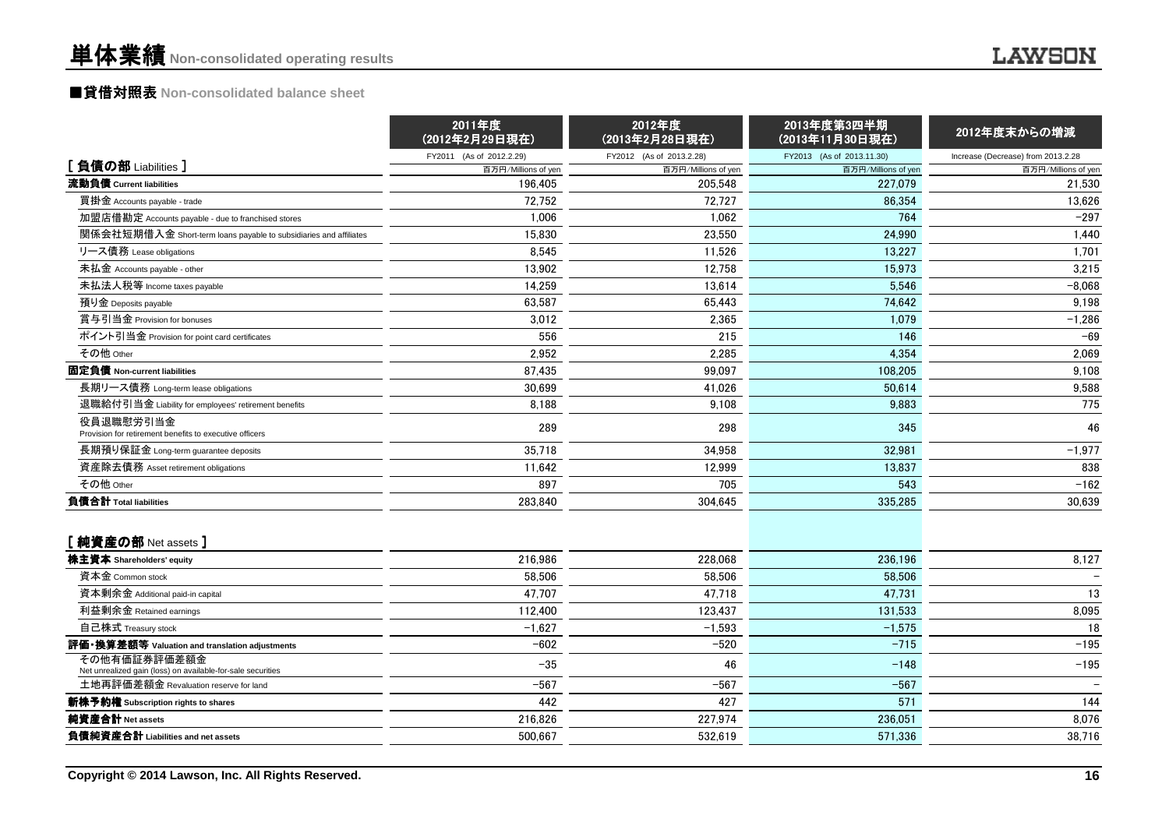## ■貸借対照表 **Non-consolidated balance sheet**

|                                                                             | 2011年度<br>(2012年2月29日現在) | 2012年度<br>(2013年2月28日現在) | 2013年度第3四半期<br>(2013年11月30日現在) | 2012年度末からの増減                       |
|-----------------------------------------------------------------------------|--------------------------|--------------------------|--------------------------------|------------------------------------|
|                                                                             | FY2011 (As of 2012.2.29) | FY2012 (As of 2013.2.28) | FY2013 (As of 2013.11.30)      | Increase (Decrease) from 2013.2.28 |
| [負債の部 Liabilities]                                                          | 百万円/Millions of yen      | 百万円/Millions of yen      | 百万円/Millions of yen            | 百万円/Millions of yen                |
| 流動負債 Current liabilities                                                    | 196,405                  | 205,548                  | 227,079                        | 21,530                             |
| 買掛金 Accounts payable - trade                                                | 72,752                   | 72.727                   | 86.354                         | 13,626                             |
| 加盟店借勘定 Accounts payable - due to franchised stores                          | 1,006                    | 1.062                    | 764                            | $-297$                             |
| 関係会社短期借入金 Short-term loans payable to subsidiaries and affiliates           | 15.830                   | 23,550                   | 24.990                         | 1,440                              |
| リース債務 Lease obligations                                                     | 8,545                    | 11,526                   | 13,227                         | 1,701                              |
| 未払金 Accounts payable - other                                                | 13.902                   | 12.758                   | 15.973                         | 3,215                              |
| 未払法人税等 Income taxes payable                                                 | 14,259                   | 13,614                   | 5,546                          | $-8,068$                           |
| 預り金 Deposits payable                                                        | 63,587                   | 65.443                   | 74.642                         | 9,198                              |
| 賞与引当金 Provision for bonuses                                                 | 3,012                    | 2,365                    | 1.079                          | $-1,286$                           |
| ポイント引当金 Provision for point card certificates                               | 556                      | 215                      | 146                            | $-69$                              |
| その他 Other                                                                   | 2.952                    | 2.285                    | 4,354                          | 2.069                              |
| 固定負債 Non-current liabilities                                                | 87,435                   | 99,097                   | 108,205                        | 9,108                              |
| 長期リース債務 Long-term lease obligations                                         | 30.699                   | 41,026                   | 50.614                         | 9,588                              |
| 退職給付引当金 Liability for employees' retirement benefits                        | 8,188                    | 9.108                    | 9,883                          | 775                                |
| 役員退職慰労引当金<br>Provision for retirement benefits to executive officers        | 289                      | 298                      | 345                            | 46                                 |
| 長期預り保証金 Long-term quarantee deposits                                        | 35,718                   | 34,958                   | 32.981                         | $-1,977$                           |
| 資産除去債務 Asset retirement obligations                                         | 11,642                   | 12,999                   | 13,837                         | 838                                |
| その他 Other                                                                   | 897                      | 705                      | 543                            | $-162$                             |
| 負債合計 Total liabilities                                                      | 283,840                  | 304,645                  | 335,285                        | 30,639                             |
| [純資産の部 Net assets]                                                          |                          |                          |                                |                                    |
| 株主資本 Shareholders' equity                                                   | 216,986                  | 228,068                  | 236,196                        | 8,127                              |
| 資本金 Common stock                                                            | 58,506                   | 58,506                   | 58,506                         |                                    |
| 資本剰余金 Additional paid-in capital                                            | 47,707                   | 47,718                   | 47,731                         | 13                                 |
| 利益剰余金 Retained earnings                                                     | 112,400                  | 123,437                  | 131,533                        | 8,095                              |
| 自己株式 Treasury stock                                                         | $-1,627$                 | $-1,593$                 | $-1,575$                       | 18                                 |
| 評価・換算差額等 Valuation and translation adjustments                              | $-602$                   | $-520$                   | $-715$                         | $-195$                             |
| その他有価証券評価差額金<br>Net unrealized gain (loss) on available-for-sale securities | $-35$                    | 46                       | $-148$                         | $-195$                             |
| 土地再評価差額金 Revaluation reserve for land                                       | $-567$                   | $-567$                   | $-567$                         |                                    |
| 新株予約権 Subscription rights to shares                                         | 442                      | 427                      | 571                            | 144                                |
| 純資産合計 Net assets                                                            | 216,826                  | 227,974                  | 236,051                        | 8,076                              |
| 負債純資産合計 Liabilities and net assets                                          | 500.667                  | 532.619                  | 571,336                        | 38,716                             |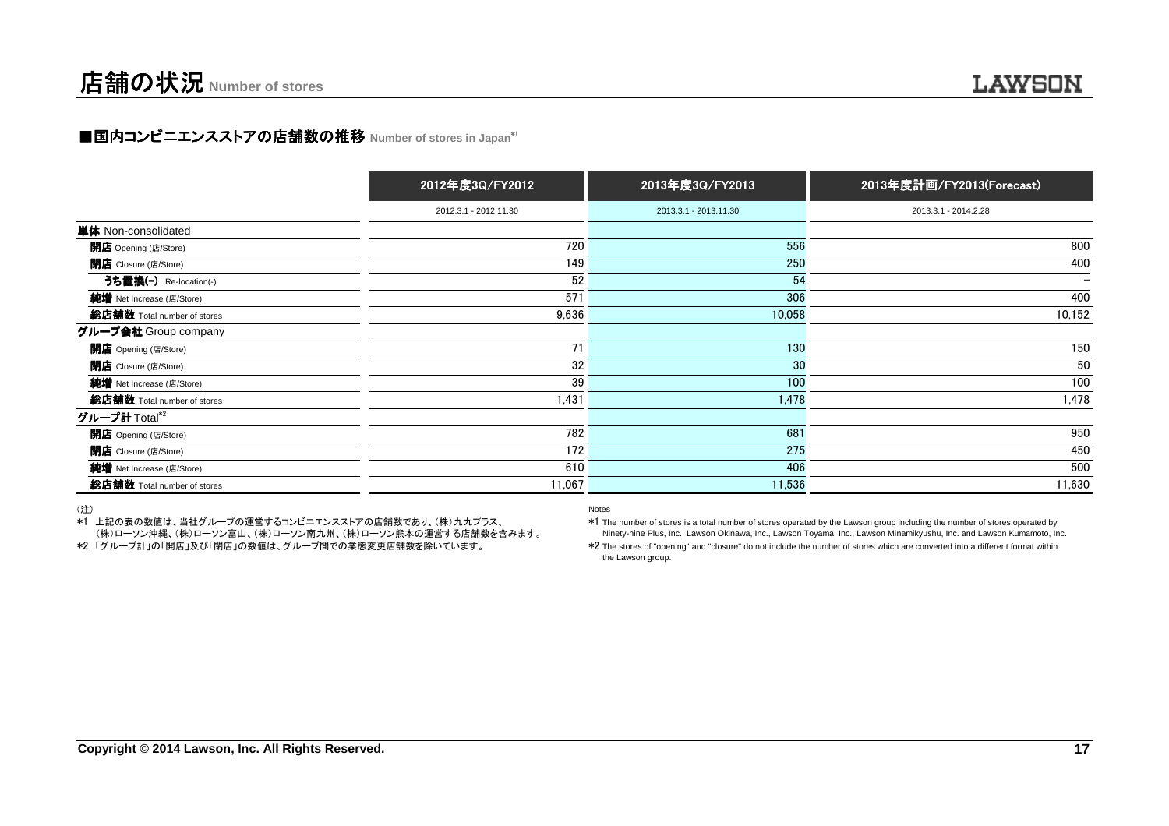## ■国内コンビニエンスストアの店舗数の推移 Number of stores in Japan\*<sup>1</sup>

|                             | 2012年度3Q/FY2012       | 2013年度3Q/FY2013       | 2013年度計画/FY2013(Forecast) |
|-----------------------------|-----------------------|-----------------------|---------------------------|
|                             | 2012.3.1 - 2012.11.30 | 2013.3.1 - 2013.11.30 | 2013.3.1 - 2014.2.28      |
| 単体 Non-consolidated         |                       |                       |                           |
| 開店 Opening (店/Store)        | 720                   | 556                   | 800                       |
| <b>閉店</b> Closure (店/Store) | 149                   | 250                   | 400                       |
| うち置換(-) Re-location(-)      | 52                    | 54                    |                           |
| 純増 Net Increase (店/Store)   | 571                   | 306                   | 400                       |
| 総店舗数 Total number of stores | 9,636                 | 10,058                | 10,152                    |
| グループ会社 Group company        |                       |                       |                           |
| 開店 Opening (店/Store)        | 71                    | 130                   | 150                       |
| <b>閉店</b> Closure (店/Store) | 32                    | 30                    | 50                        |
| 純増 Net Increase (店/Store)   | 39                    | 100                   | 100                       |
| 総店舗数 Total number of stores | 1,431                 | 1,478                 | 1,478                     |
| グループ計 Total*2               |                       |                       |                           |
| 開店 Opening (店/Store)        | 782                   | 681                   | 950                       |
| <b>閉店</b> Closure (店/Store) | 172                   | 275                   | 450                       |
| 純増 Net Increase (店/Store)   | 610                   | 406                   | 500                       |
| 総店舗数 Total number of stores | 11,067                | 11,536                | 11,630                    |

(注)

 \*1 上記の表の数値は、当社グループの運営するコンビニエンスストアの店舗数であり、(株)九九プラス、(株)ローソン沖縄、(株)ローソン富山、(株)ローソン南九州、(株)ローソン熊本の運営する店舗数を含みます。

\*2 「グループ計」の「開店」及び「閉店」の数値は、グループ間での業態変更店舗数を除いています。

Notes

 \*1 The number of stores is a total number of stores operated by the Lawson group including the number of stores operated byNinety-nine Plus, Inc., Lawson Okinawa, Inc., Lawson Toyama, Inc., Lawson Minamikyushu, Inc. and Lawson Kumamoto, Inc.

\*2 The stores of "opening" and "closure" do not include the number of stores which are converted into a different format withinthe Lawson group.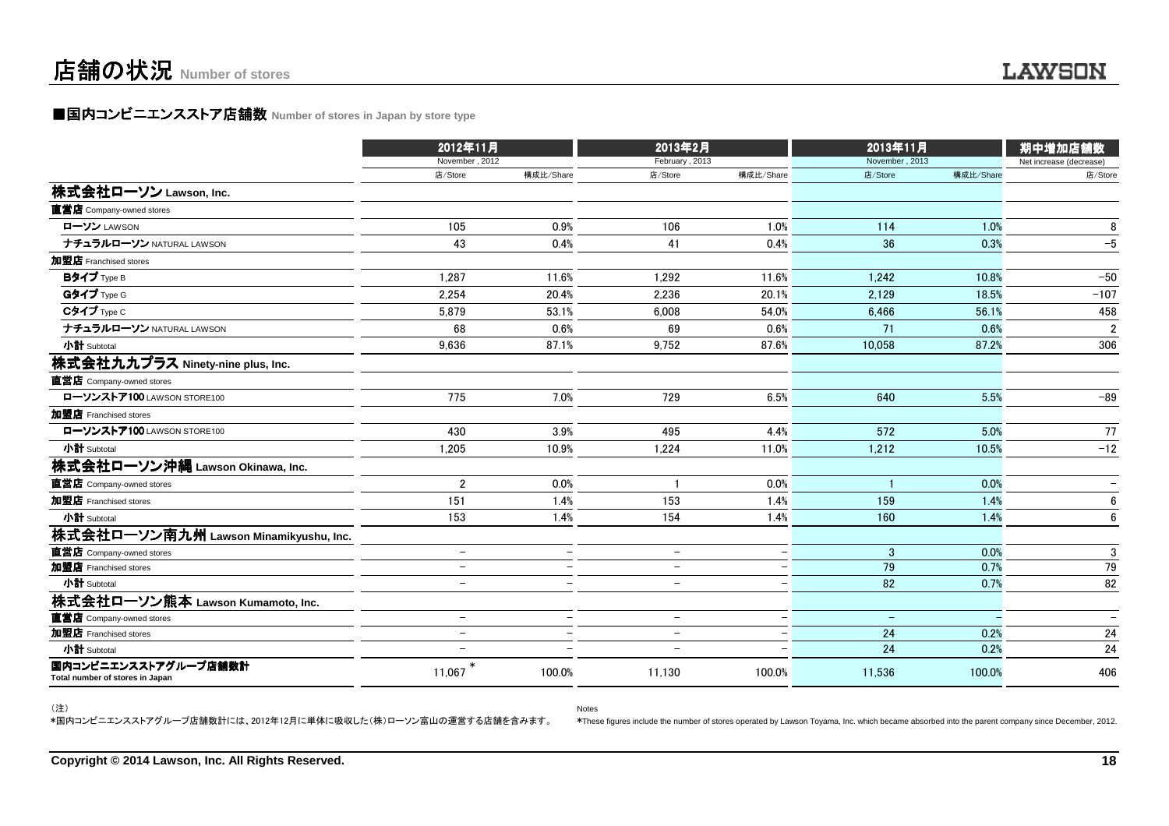### ■国内コンビニエンスストア店舗数 Number of stores in Japan by store type

|                                                         | 2012年11月                 |                          | 2013年2月                  |                          | 2013年11月          |           | 期中増加店舗数                 |
|---------------------------------------------------------|--------------------------|--------------------------|--------------------------|--------------------------|-------------------|-----------|-------------------------|
|                                                         | November, 2012           |                          | February, 2013           |                          | November, 2013    |           | Net increase (decrease) |
|                                                         | 店/Store                  | 構成比/Share                | 店/Store                  | 構成比/Share                | 店/Store           | 構成比/Share | 店/Store                 |
| 株式会社ローソン Lawson, Inc.                                   |                          |                          |                          |                          |                   |           |                         |
| 直営店 Company-owned stores                                |                          |                          |                          |                          |                   |           |                         |
| ローソン LAWSON                                             | 105                      | 0.9%                     | 106                      | 1.0%                     | 114               | 1.0%      | 8                       |
| ナチュラルローソン NATURAL LAWSON                                | 43                       | 0.4%                     | 41                       | 0.4%                     | 36                | 0.3%      | $-5$                    |
| 加盟店 Franchised stores                                   |                          |                          |                          |                          |                   |           |                         |
| Bタイプ Type B                                             | 1,287                    | 11.6%                    | 1,292                    | 11.6%                    | 1,242             | 10.8%     | $-50$                   |
| Gタイプ Type G                                             | 2.254                    | 20.4%                    | 2.236                    | 20.1%                    | 2.129             | 18.5%     | $-107$                  |
| Cタイプ Type C                                             | 5.879                    | 53.1%                    | 6.008                    | 54.0%                    | 6.466             | 56.1%     | 458                     |
| ナチュラルローソン NATURAL LAWSON                                | 68                       | 0.6%                     | 69                       | 0.6%                     | 71                | 0.6%      | $\overline{2}$          |
| 小計 Subtotal                                             | 9,636                    | 87.1%                    | 9,752                    | 87.6%                    | 10,058            | 87.2%     | 306                     |
| 株式会社九九プラス Ninety-nine plus, Inc.                        |                          |                          |                          |                          |                   |           |                         |
| 直営店 Company-owned stores                                |                          |                          |                          |                          |                   |           |                         |
| ローソンストア100 LAWSON STORE100                              | 775                      | 7.0%                     | 729                      | 6.5%                     | 640               | 5.5%      | $-89$                   |
| 加盟店 Franchised stores                                   |                          |                          |                          |                          |                   |           |                         |
| ローソンストア100 LAWSON STORE100                              | 430                      | 3.9%                     | 495                      | 4.4%                     | 572               | 5.0%      | 77                      |
| 小計 Subtotal                                             | 1,205                    | 10.9%                    | 1,224                    | 11.0%                    | 1,212             | 10.5%     | $-12$                   |
| 株式会社ローソン沖縄 Lawson Okinawa, Inc.                         |                          |                          |                          |                          |                   |           |                         |
| 直営店 Company-owned stores                                | $\overline{2}$           | 0.0%                     |                          | 0.0%                     |                   | 0.0%      |                         |
| 加盟店 Franchised stores                                   | 151                      | 1.4%                     | 153                      | 1.4%                     | 159               | 1.4%      | 6                       |
| 小計 Subtotal                                             | 153                      | 1.4%                     | 154                      | 1.4%                     | 160               | 1.4%      | 6                       |
| 株式会社ローソン南九州 Lawson Minamikyushu, Inc.                   |                          |                          |                          |                          |                   |           |                         |
| 直営店 Company-owned stores                                | $\overline{\phantom{a}}$ | $\overline{\phantom{m}}$ | $\overline{\phantom{a}}$ | $\overline{\phantom{m}}$ | 3                 | 0.0%      | 3                       |
| 加盟店 Franchised stores                                   | $\overline{\phantom{0}}$ | $\overline{\phantom{0}}$ | $\overline{\phantom{0}}$ | $\qquad \qquad -$        | 79                | 0.7%      | 79                      |
| 小計 Subtotal                                             | $\overline{\phantom{0}}$ | $\overline{\phantom{0}}$ | $\overline{\phantom{0}}$ |                          | 82                | 0.7%      | 82                      |
| 株式会社ローソン熊本 Lawson Kumamoto, Inc.                        |                          |                          |                          |                          |                   |           |                         |
| 直営店 Company-owned stores                                | $\overline{\phantom{m}}$ | $\overline{\phantom{m}}$ | $\overline{\phantom{a}}$ | $\qquad \qquad -$        | $\qquad \qquad -$ |           |                         |
| 加盟店 Franchised stores                                   | $\qquad \qquad -$        | $\overline{\phantom{0}}$ | $\qquad \qquad -$        | $\qquad \qquad -$        | 24                | 0.2%      | 24                      |
| 小計 Subtotal                                             | $\equiv$                 | $\equiv$                 | $\equiv$                 |                          | 24                | 0.2%      | 24                      |
| 国内コンビニエンスストアグループ店舗数計<br>Total number of stores in Japan | 11.067                   | 100.0%                   | 11,130                   | 100.0%                   | 11.536            | 100.0%    | 406                     |

Notes

(注)

\*国内コンビニエンスストアグループ店舗数計には、2012年12月に単体に吸収した(株)ローソン富山の運営する店舗を含みます。

\*These figures include the number of stores operated by Lawson Toyama, Inc. which became absorbed into the parent company since December, 2012.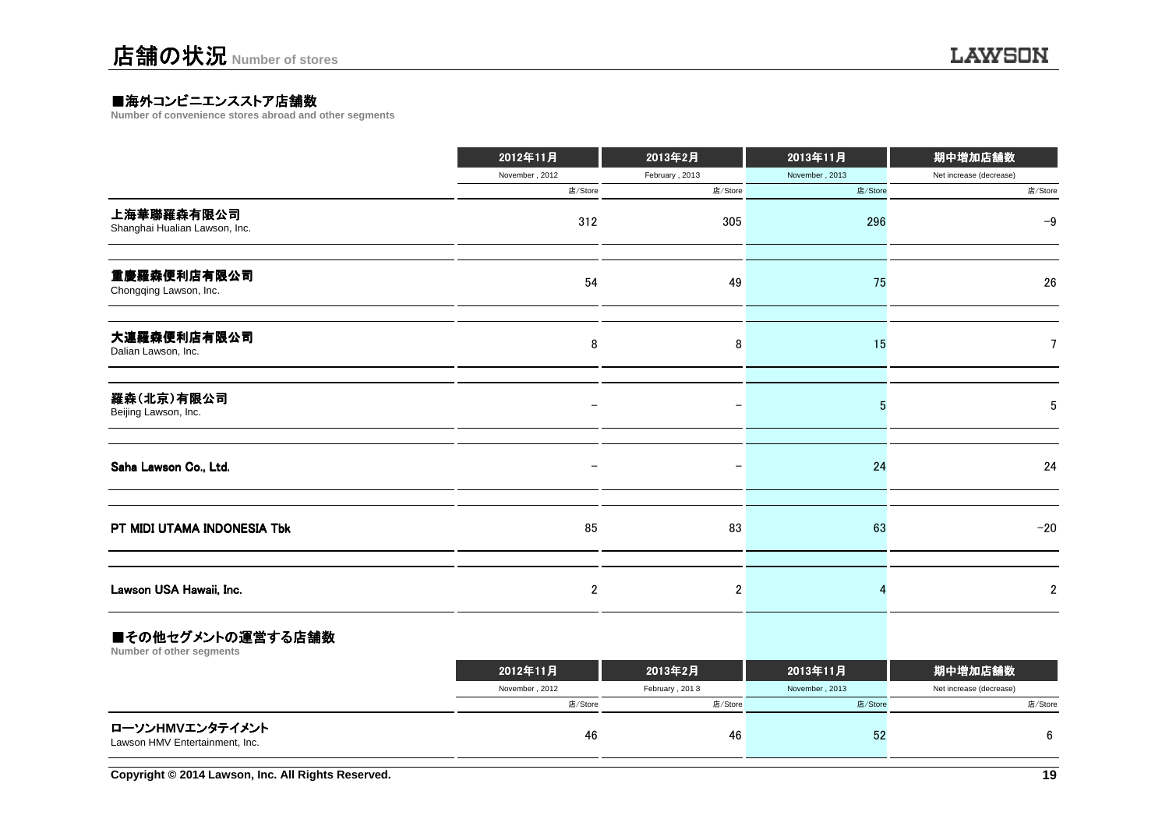### ■海外コンビニエンスストア店舗数<br>Number of convenience stores abroad and

**Number of convenience stores abroad and other segments**

|                                             | 2012年11月                 | 2013年2月        | 2013年11月       | 期中増加店舗数                 |
|---------------------------------------------|--------------------------|----------------|----------------|-------------------------|
|                                             | November, 2012           | February, 2013 | November, 2013 | Net increase (decrease) |
|                                             | 店/Store                  | 店/Store        | 店/Store        | 店/Store                 |
| 上海華聯羅森有限公司<br>Shanghai Hualian Lawson, Inc. | 312                      | 305            | 296            | $-9$                    |
| 重慶羅森便利店有限公司<br>Chongqing Lawson, Inc.       | 54                       | 49             | 75             | 26                      |
| 大連羅森便利店有限公司<br>Dalian Lawson, Inc.          | 8                        | 8              | 15             | $\overline{7}$          |
| 羅森(北京)有限公司<br>Beijing Lawson, Inc.          | $\overline{\phantom{0}}$ | -              | 5              | 5                       |
| Saha Lawson Co., Ltd.                       | $\overline{\phantom{0}}$ | -              | 24             | 24                      |
| PT MIDI UTAMA INDONESIA Tbk                 | 85                       | 83             | 63             | $-20$                   |
| Lawson USA Hawaii, Inc.                     | $\overline{2}$           | $\overline{2}$ |                | $\overline{2}$          |
|                                             |                          |                |                |                         |

### ■その他セグメントの運営する店舗数

**Number of other segments**

|                                                   | 2012年11月       | 2013年2月        | 2013年11月       | 期中増加店舗数                 |
|---------------------------------------------------|----------------|----------------|----------------|-------------------------|
|                                                   | November, 2012 | February, 2013 | November, 2013 | Net increase (decrease) |
|                                                   | 店/Store        | 店/Store        | 店/Store        | 店/Store                 |
| ローソンHMVエンタテイメント<br>Lawson HMV Entertainment, Inc. | 46             | 46             | 52             | 6                       |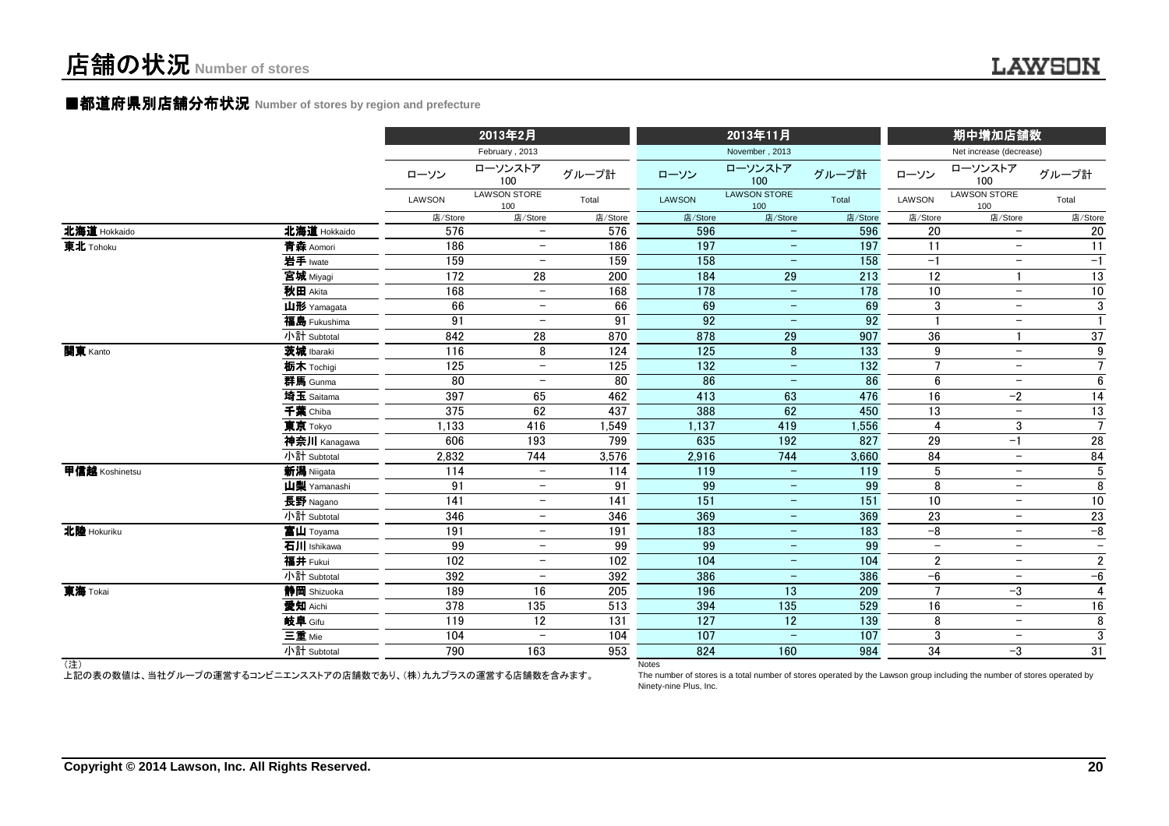### ■都道府県別店舗分布状況 Number of stores by region and prefecture

|                |                         |                        | 2013年2月                    |            | 2013年11月     |                                               |                  | 期中増加店舗数                  |                            |                        |  |
|----------------|-------------------------|------------------------|----------------------------|------------|--------------|-----------------------------------------------|------------------|--------------------------|----------------------------|------------------------|--|
|                |                         |                        | February, 2013             |            |              | November, 2013                                |                  |                          | Net increase (decrease)    |                        |  |
|                |                         | ローソン                   | ローソンストア<br>100             | グループ計      | ローソン         | ローソンストア<br>100                                | グループ計            | ローソン                     | ローソンストア<br>100             | グループ計                  |  |
|                |                         | LAWSON                 | <b>LAWSON STORE</b><br>100 | Total      | LAWSON       | <b>LAWSON STORE</b><br>100                    | Total            | LAWSON                   | <b>LAWSON STORE</b><br>100 | Total                  |  |
|                |                         | 店/Store                | 店/Store                    | 店/Store    | 店/Store      | 店/Store                                       | 店/Store          | 店/Store                  | 店/Store                    | 店/Store                |  |
| 北海道 Hokkaido   | 北海道 Hokkaido            | 576                    | $-$                        | 576        | 596          | $\overline{\phantom{m}}$                      | 596              | 20                       | $\overline{\phantom{m}}$   | 20                     |  |
| 東北 Tohoku      | 青森 Aomori               | 186                    | $\overline{\phantom{m}}$   | 186        | 197          | $\overline{\phantom{m}}$                      | 197              | 11                       | $\overline{\phantom{m}}$   | 11                     |  |
|                | 岩手 Iwate                | 159                    | $\overline{\phantom{m}}$   | 159        | 158          | $\overline{\phantom{m}}$                      | 158              | $-1$                     | $\overline{\phantom{m}}$   | $-1$                   |  |
|                | 宮城 Miyagi               | 172                    | 28                         | 200        | 184          | 29                                            | $\overline{213}$ | 12                       |                            | $\overline{13}$        |  |
|                | 秋田 Akita                | 168                    | $\overline{\phantom{m}}$   | 168        | 178          | $\overline{\phantom{m}}$                      | 178              | $\overline{10}$          | $-$                        | $10$                   |  |
|                | 山形 Yamagata             | 66                     | $\overline{\phantom{m}}$   | 66         | 69           | $\overline{\phantom{m}}$                      | 69               | 3                        | $\overline{\phantom{m}}$   | $\overline{3}$         |  |
|                | 福島 Fukushima            | 91                     | $\overline{\phantom{0}}$   | 91         | 92           | $\overline{\phantom{m}}$                      | 92               |                          | $\overline{\phantom{m}}$   | $\mathbf{1}$           |  |
|                | 小計 Subtotal             | 842                    | 28                         | 870        | 878          | 29                                            | 907              | 36                       |                            | 37                     |  |
| 関東 Kanto       | 茨城 Ibaraki              | 116                    | 8                          | 124        | 125          | 8                                             | 133              | 9                        | $\overline{\phantom{m}}$   | $\boldsymbol{9}$       |  |
|                | 栃木 Tochigi              | 125                    | $\overline{\phantom{m}}$   | 125        | 132          | $\overline{\phantom{a}}$                      | 132              | 7                        | $-$                        | $\overline{7}$         |  |
|                | 群馬 Gunma                | $\overline{80}$        | $\overline{\phantom{m}}$   | 80         | 86           | $\qquad \qquad -$                             | 86               | $6\phantom{1}$           | $\overline{\phantom{m}}$   | $6\overline{6}$        |  |
|                | 埼玉 Saitama              | 397                    | 65                         | 462        | 413          | 63                                            | 476              | 16                       | $-2$                       | 14                     |  |
|                | 千葉 Chiba                | 375                    | 62                         | 437        | 388          | 62                                            | 450              | 13                       | $\overline{\phantom{a}}$   | 13                     |  |
|                | 東京 Tokyo                | 1,133                  | 416                        | 1,549      | 1,137        | 419                                           | 1,556            | $\overline{4}$           | 3                          | $\overline{7}$         |  |
|                | 神奈川 Kanagawa            | 606                    | 193                        | 799        | 635          | 192                                           | 827              | 29                       | $-1$                       | 28                     |  |
|                | 小計 Subtotal             | 2,832                  | 744                        | 3,576      | 2,916        | 744                                           | 3,660            | 84                       | $\overline{\phantom{a}}$   | 84                     |  |
| 甲信越 Koshinetsu | 新潟 Niigata              | 114                    | $-$                        | 114        | 119          | $\overline{\phantom{a}}$                      | 119              | 5                        | $\overline{\phantom{a}}$   | $5\phantom{.0}$        |  |
|                | 山梨 Yamanashi            | 91<br>$\overline{141}$ | $-$<br>$-$                 | 91         | 99<br>151    | $\overline{\phantom{m}}$<br>$\qquad \qquad -$ | 99<br>151        | 8<br>$\overline{10}$     | $-$<br>$-$                 | 8<br>$\overline{10}$   |  |
|                | 長野 Nagano               |                        | $\overline{\phantom{m}}$   | 141        |              | $\overline{\phantom{m}}$                      |                  |                          | $\overline{\phantom{m}}$   |                        |  |
| 北陸 Hokuriku    | 小計 Subtotal             | 346<br>191             | $-$                        | 346<br>191 | 369<br>183   | $\overline{\phantom{a}}$                      | 369<br>183       | 23<br>$-\frac{1}{6}$     | $\overline{\phantom{m}}$   | 23<br>$-8$             |  |
|                | 富山 Toyama               | 99                     | $\overline{\phantom{m}}$   | 99         | 99           | $\overline{\phantom{a}}$                      | 99               | $\overline{\phantom{m}}$ | $\overline{\phantom{m}}$   | $-$                    |  |
|                | 石川 Ishikawa<br>福井 Fukui | 102                    | $\overline{\phantom{m}}$   | 102        |              | $\overline{\phantom{m}}$                      |                  |                          | $\overline{\phantom{m}}$   |                        |  |
|                | 小計 Subtotal             | 392                    | $\overline{\phantom{m}}$   | 392        | 104<br>386   |                                               | 104<br>386       | $\overline{2}$<br>$-6$   | $\overline{\phantom{m}}$   | $\overline{2}$<br>$-6$ |  |
| 東海 Tokai       |                         | 189                    | 16                         | 205        | 196          | -<br>13                                       | 209              | $\overline{7}$           | $-3$                       | $\overline{4}$         |  |
|                | 静岡 Shizuoka<br>愛知 Aichi | 378                    | 135                        | 513        | 394          | 135                                           | 529              | 16                       | $\overline{\phantom{m}}$   | 16                     |  |
|                | 岐阜 Gifu                 | 119                    | 12                         | 131        | 127          | 12                                            | 139              | 8                        | $-$                        | 8                      |  |
|                | 三重 Mie                  | 104                    | $\overline{\phantom{m}}$   | 104        | 107          | $\overline{\phantom{m}}$                      | 107              | 3                        | $\overline{\phantom{m}}$   | 3                      |  |
|                | 小計 Subtotal             | 790                    | 163                        | 953        | 824          | 160                                           | 984              | 34                       | $-3$                       | 31                     |  |
| (注)            |                         |                        |                            |            | <b>Notes</b> |                                               |                  |                          |                            |                        |  |

(注)

上記の表の数値は、当社グループの運営するコンビニエンスストアの店舗数であり、(株)九九プラスの運営する店舗数を含みます。

 The number of stores is a total number of stores operated by the Lawson group including the number of stores operated byNinety-nine Plus, Inc.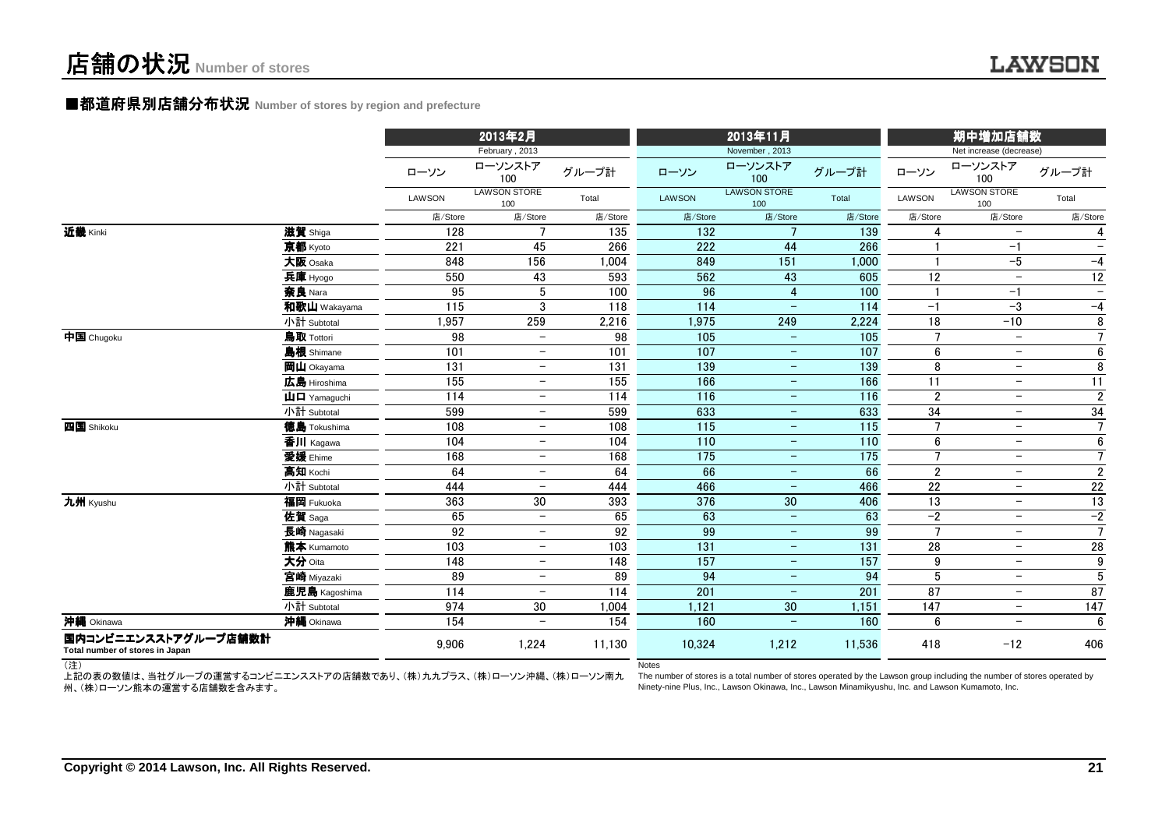### ■都道府県別店舗分布状況 Number of stores by region and prefecture

|                                                         |                                                           |         | 2013年2月                    |                  |               | 2013年11月                   |                  | 期中増加店舗数          |                            |                          |  |
|---------------------------------------------------------|-----------------------------------------------------------|---------|----------------------------|------------------|---------------|----------------------------|------------------|------------------|----------------------------|--------------------------|--|
|                                                         |                                                           |         | February, 2013             |                  |               | November, 2013             |                  |                  | Net increase (decrease)    |                          |  |
|                                                         |                                                           | ローソン    | ローソンストア<br>100             | グループ計            | ローソン          | ローソンストア<br>100             | グループ計            | ローソン             | ローソンストア<br>100             | グループ計                    |  |
|                                                         |                                                           | LAWSON  | <b>LAWSON STORE</b><br>100 | Total            | <b>LAWSON</b> | <b>LAWSON STORE</b><br>100 | Total            | <b>LAWSON</b>    | <b>LAWSON STORE</b><br>100 | Total                    |  |
|                                                         |                                                           | 店/Store | 店/Store                    | 店/Store          | 店/Store       | 店/Store                    | 店/Store          | 店/Store          | 店/Store                    | 店/Store                  |  |
| 近畿 Kinki                                                | 滋賀 Shiga                                                  | 128     | $\overline{7}$             | $\overline{135}$ | 132           | $\overline{7}$             | 139              |                  | $\overline{\phantom{m}}$   | 4                        |  |
|                                                         | 京都 Kyoto                                                  | 221     | 45                         | 266              | 222           | 44                         | 266              |                  | $-1$                       | $\overline{\phantom{0}}$ |  |
|                                                         | 大阪 Osaka                                                  | 848     | 156                        | 1,004            | 849           | 151                        | 1,000            |                  | $-5$                       | $-4$                     |  |
|                                                         | 兵庫 Hyogo                                                  | 550     | 43                         | 593              | 562           | 43                         | 605              | 12               | $\overline{\phantom{m}}$   | 12                       |  |
|                                                         | 奈良 Nara                                                   | 95      | 5                          | 100              | 96            | 4                          | 100              |                  | $-1$                       | $\overline{\phantom{m}}$ |  |
|                                                         | 和歌山 Wakayama                                              | 115     | 3                          | 118              | 114           | $\overline{\phantom{m}}$   | 114              | $-1$             | $-3$                       | $-4$                     |  |
|                                                         | 小計 Subtotal                                               | 1,957   | 259                        | 2,216            | 1,975         | 249                        | 2,224            | 18               | $-10$                      | 8                        |  |
| 中国 Chugoku                                              | 鳥取 Tottori                                                | 98      | $\overline{\phantom{m}}$   | 98               | 105           | $\overline{\phantom{a}}$   | 105              | $\overline{7}$   | $\overline{\phantom{m}}$   | $7\overline{ }$          |  |
|                                                         | 島根 Shimane                                                | 101     | $-$                        | 101              | 107           | $\overline{\phantom{a}}$   | 107              | $\boldsymbol{6}$ | $\overline{\phantom{a}}$   | $6\phantom{.}$           |  |
|                                                         | <b>岡山</b> Okayama                                         | 131     | $\overline{\phantom{m}}$   | 131              | 139           | $\qquad \qquad -$          | 139              | 8                | $\overline{\phantom{m}}$   | 8                        |  |
|                                                         | 広島 Hiroshima                                              | 155     | $\overline{\phantom{a}}$   | 155              | 166           | $-$                        | 166              | 11               | $\overline{\phantom{a}}$   | $\overline{11}$          |  |
|                                                         | $\mathbf{\mathbf{\mu}}$ $\mathbf{\mathbf{\Pi}}$ Yamaguchi | 114     | $\overline{\phantom{m}}$   | 114              | 116           | $\overline{\phantom{m}}$   | 116              | $\overline{2}$   | $\overline{\phantom{m}}$   | $\overline{2}$           |  |
|                                                         | 小計 Subtotal                                               | 599     | $\overline{\phantom{m}}$   | 599              | 633           | $\qquad \qquad -$          | 633              | 34               | $\overline{\phantom{m}}$   | 34                       |  |
| 四国 Shikoku                                              | 徳島 Tokushima                                              | 108     | $\overline{\phantom{m}}$   | 108              | 115           | $\overline{\phantom{m}}$   | 115              | $\overline{7}$   | $-$                        | $\overline{7}$           |  |
|                                                         | 香川 Kagawa                                                 | 104     | $\overline{\phantom{m}}$   | 104              | 110           | $\overline{\phantom{m}}$   | $\overline{110}$ | $\boldsymbol{6}$ | $\overline{\phantom{m}}$   | $6\overline{6}$          |  |
|                                                         | 愛媛 Ehime                                                  | 168     | $\overline{\phantom{m}}$   | 168              | 175           | $\qquad \qquad -$          | 175              | $\overline{7}$   | $\overline{\phantom{m}}$   | $\overline{7}$           |  |
|                                                         | 高知 Kochi                                                  | 64      | $\overline{\phantom{m}}$   | 64               | 66            | $\overline{\phantom{a}}$   | 66               | $\overline{2}$   | $\overline{\phantom{m}}$   | $\overline{2}$           |  |
|                                                         | 小計 Subtotal                                               | 444     | $-$                        | 444              | 466           | $\qquad \qquad -$          | 466              | 22               | $-$                        | 22                       |  |
| 九州 Kyushu                                               | 福岡 Fukuoka                                                | 363     | 30                         | 393              | 376           | 30                         | 406              | 13               | $\overline{\phantom{a}}$   | 13                       |  |
|                                                         | 佐賀 Saga                                                   | 65      | $\overline{\phantom{a}}$   | 65               | 63            | $\equiv$                   | 63               | $-2$             | $-$                        | $-2$                     |  |
|                                                         | 長崎 Nagasaki                                               | 92      | $-$                        | 92               | 99            | $\overline{\phantom{a}}$   | 99               | $\overline{7}$   | $-$                        | $\overline{7}$           |  |
|                                                         | 熊本 Kumamoto                                               | 103     | $-$                        | 103              | 131           | $\overline{\phantom{0}}$   | 131              | 28               | $-$                        | 28                       |  |
|                                                         | 大分 Oita                                                   | 148     | $\overline{\phantom{m}}$   | 148              | 157           | $\qquad \qquad -$          | 157              | 9                | $-$                        | $\boldsymbol{9}$         |  |
|                                                         | 宮崎 Miyazaki                                               | 89      | $-$                        | 89               | 94            | $\overline{\phantom{m}}$   | 94               | $\overline{5}$   | $-$                        | $\overline{5}$           |  |
|                                                         | 鹿児島 Kagoshima                                             | 114     | $\overline{\phantom{m}}$   | 114              | 201           | $\qquad \qquad -$          | 201              | 87               | $\overline{\phantom{m}}$   | 87                       |  |
|                                                         | 小計 Subtotal                                               | 974     | 30                         | 1,004            | 1,121         | 30                         | 1,151            | 147              | $\overline{\phantom{m}}$   | 147                      |  |
| 沖縄 Okinawa                                              | 沖縄 Okinawa                                                | 154     | $\overline{\phantom{0}}$   | 154              | 160           |                            | 160              | 6                | $\overline{\phantom{m}}$   | 6                        |  |
| 国内コンビニエンスストアグループ店舗数計<br>Total number of stores in Japan |                                                           | 9.906   | 1,224                      | 11,130           | 10,324        | 1,212                      | 11,536           | 418              | $-12$                      | 406                      |  |

Notes

(注)

上記の表の数値は、当社グループの運営するコンビニエンスストアの店舗数であり、(株)九九プラス、(株)ローソン沖縄、(株)ローソン南九 州、(株)ローソン熊本の運営する店舗数を含みます。

 The number of stores is a total number of stores operated by the Lawson group including the number of stores operated byNinety-nine Plus, Inc., Lawson Okinawa, Inc., Lawson Minamikyushu, Inc. and Lawson Kumamoto, Inc.